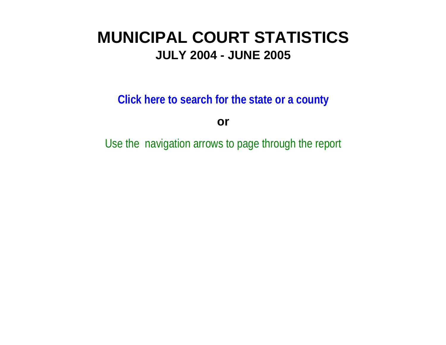# **MUNICIPAL COURT STATISTICSJULY 2004 - JUNE 2005**

**Click here to search for the state or a count y**

**or**

Use the navigation arrows to page through the repor t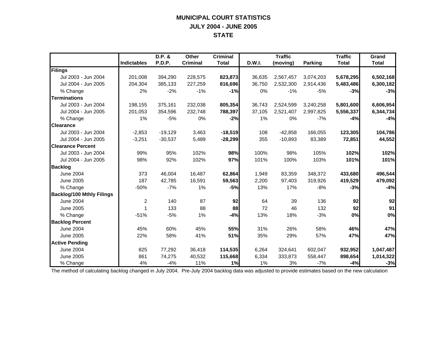## **MUNICIPAL COURT STATISTICS JULY 2004 - JUNE 2005 STATE**

|                                  |                | D.P. &    | <b>Other</b>    | <b>Criminal</b> |        | <b>Traffic</b> |           | <b>Traffic</b> | Grand        |
|----------------------------------|----------------|-----------|-----------------|-----------------|--------|----------------|-----------|----------------|--------------|
|                                  | Indictables    | P.D.P.    | <b>Criminal</b> | <b>Total</b>    | D.W.I. | (moving)       | Parking   | <b>Total</b>   | <b>Total</b> |
| Filings                          |                |           |                 |                 |        |                |           |                |              |
| Jul 2003 - Jun 2004              | 201,008        | 394,290   | 228,575         | 823,873         | 36,635 | 2,567,457      | 3,074,203 | 5,678,295      | 6,502,168    |
| Jul 2004 - Jun 2005              | 204,304        | 385,133   | 227,259         | 816,696         | 36,750 | 2,532,300      | 2,914,436 | 5,483,486      | 6,300,182    |
| % Change                         | 2%             | $-2%$     | $-1%$           | $-1%$           | 0%     | $-1%$          | $-5%$     | $-3%$          | $-3%$        |
| <b>Terminations</b>              |                |           |                 |                 |        |                |           |                |              |
| Jul 2003 - Jun 2004              | 198.155        | 375,161   | 232,038         | 805,354         | 36,743 | 2,524,599      | 3,240,258 | 5,801,600      | 6,606,954    |
| Jul 2004 - Jun 2005              | 201,053        | 354,596   | 232,748         | 788,397         | 37,105 | 2,521,407      | 2,997,825 | 5,556,337      | 6,344,734    |
| % Change                         | 1%             | $-5%$     | 0%              | $-2%$           | 1%     | 0%             | $-7%$     | $-4%$          | $-4%$        |
| <b>Clearance</b>                 |                |           |                 |                 |        |                |           |                |              |
| Jul 2003 - Jun 2004              | $-2,853$       | $-19,129$ | 3,463           | $-18,519$       | 108    | $-42,858$      | 166,055   | 123,305        | 104,786      |
| Jul 2004 - Jun 2005              | $-3,251$       | $-30,537$ | 5,489           | $-28,299$       | 355    | $-10,893$      | 83,389    | 72,851         | 44,552       |
| <b>Clearance Percent</b>         |                |           |                 |                 |        |                |           |                |              |
| Jul 2003 - Jun 2004              | 99%            | 95%       | 102%            | 98%             | 100%   | 98%            | 105%      | 102%           | 102%         |
| Jul 2004 - Jun 2005              | 98%            | 92%       | 102%            | 97%             | 101%   | 100%           | 103%      | 101%           | 101%         |
| <b>Backlog</b>                   |                |           |                 |                 |        |                |           |                |              |
| <b>June 2004</b>                 | 373            | 46.004    | 16,487          | 62,864          | 1,949  | 83,359         | 348,372   | 433,680        | 496,544      |
| June 2005                        | 187            | 42,785    | 16,591          | 59,563          | 2,200  | 97,403         | 319,926   | 419,529        | 479,092      |
| % Change                         | $-50%$         | $-7%$     | 1%              | $-5%$           | 13%    | 17%            | $-8%$     | $-3%$          | $-4%$        |
| <b>Backlog/100 Mthly Filings</b> |                |           |                 |                 |        |                |           |                |              |
| <b>June 2004</b>                 | $\overline{c}$ | 140       | 87              | 92              | 64     | 39             | 136       | 92             | 92           |
| <b>June 2005</b>                 | 1              | 133       | 88              | 88              | 72     | 46             | 132       | 92             | 91           |
| % Change                         | $-51%$         | $-5%$     | 1%              | $-4%$           | 13%    | 18%            | $-3%$     | 0%             | 0%           |
| <b>Backlog Percent</b>           |                |           |                 |                 |        |                |           |                |              |
| <b>June 2004</b>                 | 45%            | 60%       | 45%             | 55%             | 31%    | 26%            | 58%       | 46%            | 47%          |
| <b>June 2005</b>                 | 22%            | 58%       | 41%             | 51%             | 35%    | 29%            | 57%       | 47%            | 47%          |
| <b>Active Pending</b>            |                |           |                 |                 |        |                |           |                |              |
| <b>June 2004</b>                 | 825            | 77,292    | 36,418          | 114,535         | 6,264  | 324,641        | 602,047   | 932,952        | 1,047,487    |
| <b>June 2005</b>                 | 861            | 74,275    | 40,532          | 115,668         | 6,334  | 333,873        | 558,447   | 898,654        | 1,014,322    |
| % Change                         | 4%             | $-4%$     | 11%             | 1%              | 1%     | 3%             | $-7%$     | $-4%$          | $-3%$        |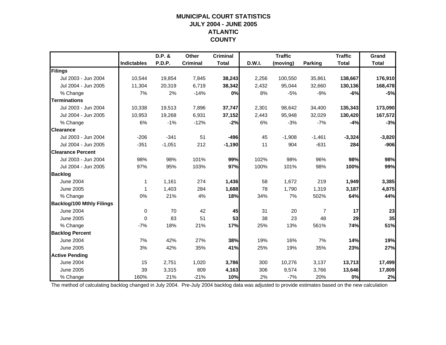## **MUNICIPAL COURT STATISTICSJULY 2004 - JUNE 2005 ATLANTIC COUNTY**

|                                  |                    | D.P. &   | Other           | <b>Criminal</b> |        | <b>Traffic</b> |                | <b>Traffic</b> | Grand        |
|----------------------------------|--------------------|----------|-----------------|-----------------|--------|----------------|----------------|----------------|--------------|
|                                  | <b>Indictables</b> | P.D.P.   | <b>Criminal</b> | <b>Total</b>    | D.W.I. | (moving)       | <b>Parking</b> | <b>Total</b>   | <b>Total</b> |
| Filings                          |                    |          |                 |                 |        |                |                |                |              |
| Jul 2003 - Jun 2004              | 10,544             | 19,854   | 7,845           | 38,243          | 2,256  | 100,550        | 35,861         | 138,667        | 176,910      |
| Jul 2004 - Jun 2005              | 11,304             | 20,319   | 6,719           | 38,342          | 2,432  | 95,044         | 32,660         | 130,136        | 168,478      |
| % Change                         | 7%                 | 2%       | $-14%$          | 0%              | 8%     | $-5%$          | $-9%$          | $-6%$          | $-5%$        |
| <b>Terminations</b>              |                    |          |                 |                 |        |                |                |                |              |
| Jul 2003 - Jun 2004              | 10,338             | 19,513   | 7,896           | 37,747          | 2,301  | 98,642         | 34,400         | 135,343        | 173,090      |
| Jul 2004 - Jun 2005              | 10,953             | 19,268   | 6,931           | 37,152          | 2,443  | 95,948         | 32,029         | 130,420        | 167,572      |
| % Change                         | 6%                 | $-1%$    | $-12%$          | $-2%$           | 6%     | $-3%$          | $-7%$          | $-4%$          | $-3%$        |
| <b>Clearance</b>                 |                    |          |                 |                 |        |                |                |                |              |
| Jul 2003 - Jun 2004              | $-206$             | $-341$   | 51              | $-496$          | 45     | $-1,908$       | $-1,461$       | $-3,324$       | $-3,820$     |
| Jul 2004 - Jun 2005              | $-351$             | $-1,051$ | 212             | $-1,190$        | 11     | 904            | $-631$         | 284            | $-906$       |
| <b>Clearance Percent</b>         |                    |          |                 |                 |        |                |                |                |              |
| Jul 2003 - Jun 2004              | 98%                | 98%      | 101%            | 99%             | 102%   | 98%            | 96%            | 98%            | 98%          |
| Jul 2004 - Jun 2005              | 97%                | 95%      | 103%            | 97%             | 100%   | 101%           | 98%            | 100%           | 99%          |
| <b>Backlog</b>                   |                    |          |                 |                 |        |                |                |                |              |
| <b>June 2004</b>                 | $\mathbf 1$        | 1,161    | 274             | 1,436           | 58     | 1,672          | 219            | 1,949          | 3,385        |
| <b>June 2005</b>                 | 1                  | 1,403    | 284             | 1,688           | 78     | 1,790          | 1,319          | 3,187          | 4,875        |
| % Change                         | 0%                 | 21%      | 4%              | 18%             | 34%    | 7%             | 502%           | 64%            | 44%          |
| <b>Backlog/100 Mthly Filings</b> |                    |          |                 |                 |        |                |                |                |              |
| <b>June 2004</b>                 | 0                  | 70       | 42              | 45              | 31     | 20             | $\overline{7}$ | 17             | 23           |
| June 2005                        | 0                  | 83       | 51              | 53              | 38     | 23             | 48             | 29             | 35           |
| % Change                         | $-7%$              | 18%      | 21%             | 17%             | 25%    | 13%            | 561%           | 74%            | 51%          |
| <b>Backlog Percent</b>           |                    |          |                 |                 |        |                |                |                |              |
| <b>June 2004</b>                 | 7%                 | 42%      | 27%             | 38%             | 19%    | 16%            | 7%             | 14%            | 19%          |
| <b>June 2005</b>                 | 3%                 | 42%      | 35%             | 41%             | 25%    | 19%            | 35%            | 23%            | 27%          |
| <b>Active Pending</b>            |                    |          |                 |                 |        |                |                |                |              |
| <b>June 2004</b>                 | 15                 | 2,751    | 1,020           | 3,786           | 300    | 10,276         | 3,137          | 13,713         | 17,499       |
| <b>June 2005</b>                 | 39                 | 3,315    | 809             | 4,163           | 306    | 9,574          | 3,766          | 13,646         | 17,809       |
| % Change                         | 160%               | 21%      | $-21%$          | 10%             | 2%     | $-7%$          | 20%            | 0%             | 2%           |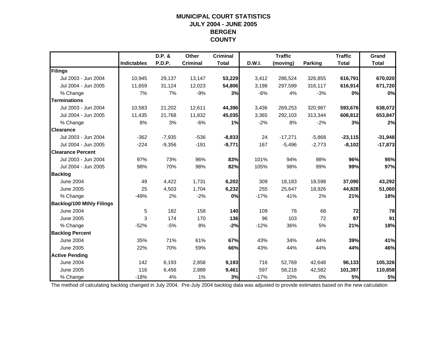#### **MUNICIPAL COURT STATISTICS JULY 2004 - JUNE 2005 BERGEN COUNTY**

|                                  |                    | D.P. &   | Other           | <b>Criminal</b> |        | <b>Traffic</b> |                | <b>Traffic</b> | Grand        |
|----------------------------------|--------------------|----------|-----------------|-----------------|--------|----------------|----------------|----------------|--------------|
|                                  | <b>Indictables</b> | P.D.P.   | <b>Criminal</b> | <b>Total</b>    | D.W.I. | (moving)       | <b>Parking</b> | <b>Total</b>   | <b>Total</b> |
| Filings                          |                    |          |                 |                 |        |                |                |                |              |
| Jul 2003 - Jun 2004              | 10,945             | 29,137   | 13,147          | 53,229          | 3,412  | 286,524        | 326,855        | 616,791        | 670,020      |
| Jul 2004 - Jun 2005              | 11,659             | 31,124   | 12,023          | 54,806          | 3,198  | 297,599        | 316,117        | 616,914        | 671,720      |
| % Change                         | 7%                 | 7%       | $-9%$           | 3%              | $-6%$  | 4%             | $-3%$          | 0%             | 0%           |
| <b>Terminations</b>              |                    |          |                 |                 |        |                |                |                |              |
| Jul 2003 - Jun 2004              | 10,583             | 21,202   | 12,611          | 44,396          | 3,436  | 269,253        | 320,987        | 593,676        | 638,072      |
| Jul 2004 - Jun 2005              | 11,435             | 21,768   | 11,832          | 45,035          | 3,365  | 292,103        | 313,344        | 608,812        | 653,847      |
| % Change                         | 8%                 | 3%       | $-6%$           | 1%              | $-2%$  | 8%             | $-2%$          | 3%             | 2%           |
| <b>Clearance</b>                 |                    |          |                 |                 |        |                |                |                |              |
| Jul 2003 - Jun 2004              | $-362$             | $-7,935$ | $-536$          | $-8,833$        | 24     | $-17,271$      | $-5,868$       | $-23,115$      | $-31,948$    |
| Jul 2004 - Jun 2005              | $-224$             | $-9,356$ | $-191$          | $-9,771$        | 167    | $-5,496$       | $-2,773$       | $-8,102$       | $-17,873$    |
| <b>Clearance Percent</b>         |                    |          |                 |                 |        |                |                |                |              |
| Jul 2003 - Jun 2004              | 97%                | 73%      | 96%             | 83%             | 101%   | 94%            | 98%            | 96%            | 95%          |
| Jul 2004 - Jun 2005              | 98%                | 70%      | 98%             | 82%             | 105%   | 98%            | 99%            | 99%            | 97%          |
| <b>Backlog</b>                   |                    |          |                 |                 |        |                |                |                |              |
| <b>June 2004</b>                 | 49                 | 4,422    | 1,731           | 6,202           | 309    | 18,183         | 18,598         | 37,090         | 43,292       |
| June 2005                        | 25                 | 4,503    | 1,704           | 6,232           | 255    | 25,647         | 18,926         | 44,828         | 51,060       |
| % Change                         | $-49%$             | 2%       | $-2%$           | 0%              | $-17%$ | 41%            | 2%             | 21%            | 18%          |
| <b>Backlog/100 Mthly Filings</b> |                    |          |                 |                 |        |                |                |                |              |
| <b>June 2004</b>                 | 5                  | 182      | 158             | 140             | 109    | 76             | 68             | 72             | 78           |
| June 2005                        | 3                  | 174      | 170             | 136             | 96     | 103            | 72             | 87             | 91           |
| % Change                         | $-52%$             | $-5%$    | 8%              | $-2%$           | $-12%$ | 36%            | 5%             | 21%            | 18%          |
| <b>Backlog Percent</b>           |                    |          |                 |                 |        |                |                |                |              |
| <b>June 2004</b>                 | 35%                | 71%      | 61%             | 67%             | 43%    | 34%            | 44%            | 39%            | 41%          |
| <b>June 2005</b>                 | 22%                | 70%      | 59%             | 66%             | 43%    | 44%            | 44%            | 44%            | 46%          |
| <b>Active Pending</b>            |                    |          |                 |                 |        |                |                |                |              |
| <b>June 2004</b>                 | 142                | 6,193    | 2,858           | 9,193           | 716    | 52,769         | 42,648         | 96,133         | 105,326      |
| <b>June 2005</b>                 | 116                | 6,456    | 2,889           | 9,461           | 597    | 58,218         | 42,582         | 101,397        | 110,858      |
| % Change                         | $-18%$             | 4%       | 1%              | 3%              | $-17%$ | 10%            | 0%             | 5%             | 5%           |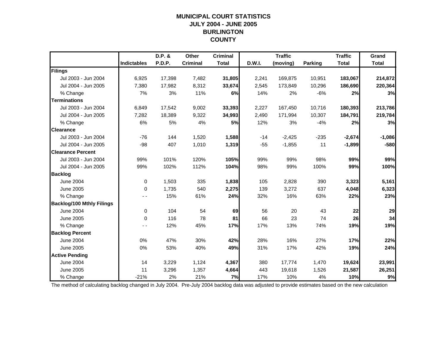## **MUNICIPAL COURT STATISTICSJULY 2004 - JUNE 2005 BURLINGTON COUNTY**

|                                  |                    | D.P. & | Other           | <b>Criminal</b> |               | <b>Traffic</b> |                | <b>Traffic</b> | Grand        |
|----------------------------------|--------------------|--------|-----------------|-----------------|---------------|----------------|----------------|----------------|--------------|
|                                  | <b>Indictables</b> | P.D.P. | <b>Criminal</b> | <b>Total</b>    | <b>D.W.I.</b> | (moving)       | <b>Parking</b> | <b>Total</b>   | <b>Total</b> |
| Filings                          |                    |        |                 |                 |               |                |                |                |              |
| Jul 2003 - Jun 2004              | 6,925              | 17,398 | 7,482           | 31,805          | 2,241         | 169,875        | 10,951         | 183,067        | 214,872      |
| Jul 2004 - Jun 2005              | 7,380              | 17,982 | 8,312           | 33,674          | 2,545         | 173,849        | 10,296         | 186,690        | 220,364      |
| % Change                         | 7%                 | 3%     | 11%             | 6%              | 14%           | 2%             | $-6%$          | 2%             | 3%           |
| <b>Terminations</b>              |                    |        |                 |                 |               |                |                |                |              |
| Jul 2003 - Jun 2004              | 6,849              | 17,542 | 9,002           | 33,393          | 2,227         | 167,450        | 10,716         | 180,393        | 213,786      |
| Jul 2004 - Jun 2005              | 7,282              | 18,389 | 9,322           | 34,993          | 2,490         | 171,994        | 10,307         | 184,791        | 219,784      |
| % Change                         | 6%                 | 5%     | 4%              | <b>5%</b>       | 12%           | 3%             | $-4%$          | 2%             | 3%           |
| <b>Clearance</b>                 |                    |        |                 |                 |               |                |                |                |              |
| Jul 2003 - Jun 2004              | $-76$              | 144    | 1,520           | 1,588           | $-14$         | $-2,425$       | $-235$         | $-2,674$       | $-1,086$     |
| Jul 2004 - Jun 2005              | $-98$              | 407    | 1,010           | 1,319           | $-55$         | $-1,855$       | 11             | $-1,899$       | $-580$       |
| <b>Clearance Percent</b>         |                    |        |                 |                 |               |                |                |                |              |
| Jul 2003 - Jun 2004              | 99%                | 101%   | 120%            | 105%            | 99%           | 99%            | 98%            | 99%            | 99%          |
| Jul 2004 - Jun 2005              | 99%                | 102%   | 112%            | 104%            | 98%           | 99%            | 100%           | 99%            | 100%         |
| <b>Backlog</b>                   |                    |        |                 |                 |               |                |                |                |              |
| <b>June 2004</b>                 | 0                  | 1,503  | 335             | 1,838           | 105           | 2,828          | 390            | 3,323          | 5,161        |
| <b>June 2005</b>                 | 0                  | 1,735  | 540             | 2,275           | 139           | 3,272          | 637            | 4,048          | 6,323        |
| % Change                         |                    | 15%    | 61%             | 24%             | 32%           | 16%            | 63%            | 22%            | 23%          |
| <b>Backlog/100 Mthly Filings</b> |                    |        |                 |                 |               |                |                |                |              |
| <b>June 2004</b>                 | 0                  | 104    | 54              | 69              | 56            | 20             | 43             | 22             | 29           |
| <b>June 2005</b>                 | $\Omega$           | 116    | 78              | 81              | 66            | 23             | 74             | 26             | 34           |
| % Change                         |                    | 12%    | 45%             | 17%             | 17%           | 13%            | 74%            | 19%            | 19%          |
| <b>Backlog Percent</b>           |                    |        |                 |                 |               |                |                |                |              |
| <b>June 2004</b>                 | 0%                 | 47%    | 30%             | 42%             | 28%           | 16%            | 27%            | 17%            | 22%          |
| <b>June 2005</b>                 | 0%                 | 53%    | 40%             | 49%             | 31%           | 17%            | 42%            | 19%            | 24%          |
| <b>Active Pending</b>            |                    |        |                 |                 |               |                |                |                |              |
| <b>June 2004</b>                 | 14                 | 3,229  | 1,124           | 4,367           | 380           | 17,774         | 1,470          | 19,624         | 23,991       |
| <b>June 2005</b>                 | 11                 | 3,296  | 1,357           | 4,664           | 443           | 19,618         | 1,526          | 21,587         | 26,251       |
| % Change                         | $-21%$             | 2%     | 21%             | 7%              | 17%           | 10%            | 4%             | 10%            | 9%           |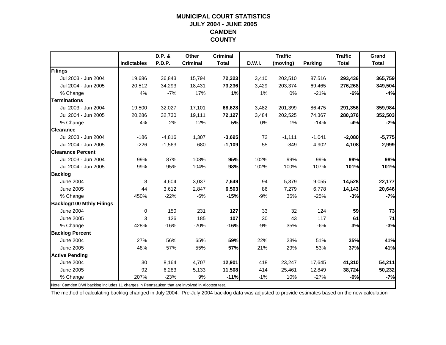## **MUNICIPAL COURT STATISTICSJULY 2004 - JUNE 2005 CAMDEN COUNTY**

|                                                                                                |                    | D.P. &   | Other           | <b>Criminal</b> |        | <b>Traffic</b> |          | <b>Traffic</b> | Grand        |
|------------------------------------------------------------------------------------------------|--------------------|----------|-----------------|-----------------|--------|----------------|----------|----------------|--------------|
|                                                                                                | <b>Indictables</b> | P.D.P.   | <b>Criminal</b> | <b>Total</b>    | D.W.I. | (moving)       | Parking  | <b>Total</b>   | <b>Total</b> |
| Filings                                                                                        |                    |          |                 |                 |        |                |          |                |              |
| Jul 2003 - Jun 2004                                                                            | 19.686             | 36,843   | 15,794          | 72,323          | 3,410  | 202,510        | 87,516   | 293,436        | 365,759      |
| Jul 2004 - Jun 2005                                                                            | 20,512             | 34,293   | 18,431          | 73,236          | 3,429  | 203,374        | 69,465   | 276,268        | 349,504      |
| % Change                                                                                       | 4%                 | $-7%$    | 17%             | 1%              | 1%     | 0%             | $-21%$   | $-6%$          | $-4%$        |
| <b>Terminations</b>                                                                            |                    |          |                 |                 |        |                |          |                |              |
| Jul 2003 - Jun 2004                                                                            | 19,500             | 32,027   | 17,101          | 68,628          | 3,482  | 201,399        | 86,475   | 291,356        | 359,984      |
| Jul 2004 - Jun 2005                                                                            | 20,286             | 32,730   | 19,111          | 72,127          | 3,484  | 202,525        | 74,367   | 280,376        | 352,503      |
| % Change                                                                                       | 4%                 | 2%       | 12%             | <b>5%</b>       | 0%     | 1%             | $-14%$   | $-4%$          | $-2%$        |
| <b>Clearance</b>                                                                               |                    |          |                 |                 |        |                |          |                |              |
| Jul 2003 - Jun 2004                                                                            | $-186$             | $-4,816$ | 1,307           | $-3,695$        | 72     | $-1,111$       | $-1,041$ | $-2,080$       | $-5,775$     |
| Jul 2004 - Jun 2005                                                                            | $-226$             | $-1,563$ | 680             | $-1,109$        | 55     | $-849$         | 4,902    | 4,108          | 2,999        |
| <b>Clearance Percent</b>                                                                       |                    |          |                 |                 |        |                |          |                |              |
| Jul 2003 - Jun 2004                                                                            | 99%                | 87%      | 108%            | 95%             | 102%   | 99%            | 99%      | 99%            | 98%          |
| Jul 2004 - Jun 2005                                                                            | 99%                | 95%      | 104%            | 98%             | 102%   | 100%           | 107%     | 101%           | 101%         |
| <b>Backlog</b>                                                                                 |                    |          |                 |                 |        |                |          |                |              |
| <b>June 2004</b>                                                                               | 8                  | 4,604    | 3,037           | 7,649           | 94     | 5,379          | 9,055    | 14,528         | 22,177       |
| June 2005                                                                                      | 44                 | 3,612    | 2,847           | 6,503           | 86     | 7,279          | 6,778    | 14,143         | 20,646       |
| % Change                                                                                       | 450%               | $-22%$   | $-6%$           | $-15%$          | $-9%$  | 35%            | $-25%$   | $-3%$          | $-7%$        |
| <b>Backlog/100 Mthly Filings</b>                                                               |                    |          |                 |                 |        |                |          |                |              |
| <b>June 2004</b>                                                                               | $\mathbf 0$        | 150      | 231             | 127             | 33     | 32             | 124      | 59             | 73           |
| June 2005                                                                                      | 3                  | 126      | 185             | 107             | 30     | 43             | 117      | 61             | 71           |
| % Change                                                                                       | 428%               | $-16%$   | $-20%$          | $-16%$          | $-9%$  | 35%            | $-6%$    | 3%             | $-3%$        |
| <b>Backlog Percent</b>                                                                         |                    |          |                 |                 |        |                |          |                |              |
| <b>June 2004</b>                                                                               | 27%                | 56%      | 65%             | 59%             | 22%    | 23%            | 51%      | 35%            | 41%          |
| <b>June 2005</b>                                                                               | 48%                | 57%      | 55%             | 57%             | 21%    | 29%            | 53%      | 37%            | 41%          |
| <b>Active Pending</b>                                                                          |                    |          |                 |                 |        |                |          |                |              |
| <b>June 2004</b>                                                                               | 30                 | 8,164    | 4,707           | 12,901          | 418    | 23,247         | 17,645   | 41,310         | 54,211       |
| <b>June 2005</b>                                                                               | 92                 | 6,283    | 5,133           | 11,508          | 414    | 25,461         | 12,849   | 38,724         | 50,232       |
| % Change                                                                                       | 207%               | $-23%$   | 9%              | $-11%$          | $-1%$  | 10%            | $-27%$   | $-6%$          | $-7%$        |
| Note: Camden DWI backlog includes 11 charges in Pennsauken that are involved in Alcotest test. |                    |          |                 |                 |        |                |          |                |              |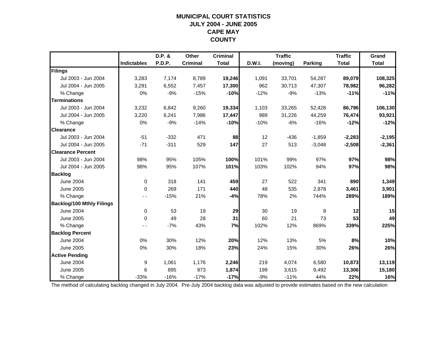## **MUNICIPAL COURT STATISTICSJULY 2004 - JUNE 2005 CAPE MAY COUNTY**

|                                  |                    | D.P. & | Other           | <b>Criminal</b> |        | <b>Traffic</b> |          | <b>Traffic</b> | Grand        |
|----------------------------------|--------------------|--------|-----------------|-----------------|--------|----------------|----------|----------------|--------------|
|                                  | <b>Indictables</b> | P.D.P. | <b>Criminal</b> | <b>Total</b>    | D.W.I. | (moving)       | Parking  | <b>Total</b>   | <b>Total</b> |
| Filings                          |                    |        |                 |                 |        |                |          |                |              |
| Jul 2003 - Jun 2004              | 3,283              | 7,174  | 8,789           | 19,246          | 1,091  | 33,701         | 54,287   | 89,079         | 108,325      |
| Jul 2004 - Jun 2005              | 3,291              | 6,552  | 7,457           | 17,300          | 962    | 30,713         | 47,307   | 78,982         | 96,282       |
| % Change                         | 0%                 | $-9%$  | $-15%$          | $-10%$          | $-12%$ | $-9%$          | $-13%$   | $-11%$         | $-11%$       |
| <b>Terminations</b>              |                    |        |                 |                 |        |                |          |                |              |
| Jul 2003 - Jun 2004              | 3,232              | 6,842  | 9,260           | 19,334          | 1,103  | 33,265         | 52,428   | 86,796         | 106,130      |
| Jul 2004 - Jun 2005              | 3,220              | 6,241  | 7,986           | 17,447          | 989    | 31,226         | 44,259   | 76,474         | 93,921       |
| % Change                         | 0%                 | $-9%$  | $-14%$          | $-10%$          | $-10%$ | $-6%$          | $-16%$   | $-12%$         | $-12%$       |
| <b>Clearance</b>                 |                    |        |                 |                 |        |                |          |                |              |
| Jul 2003 - Jun 2004              | $-51$              | $-332$ | 471             | 88              | 12     | -436           | $-1,859$ | $-2,283$       | $-2,195$     |
| Jul 2004 - Jun 2005              | $-71$              | $-311$ | 529             | 147             | 27     | 513            | $-3,048$ | $-2,508$       | $-2,361$     |
| <b>Clearance Percent</b>         |                    |        |                 |                 |        |                |          |                |              |
| Jul 2003 - Jun 2004              | 98%                | 95%    | 105%            | 100%            | 101%   | 99%            | 97%      | 97%            | 98%          |
| Jul 2004 - Jun 2005              | 98%                | 95%    | 107%            | 101%            | 103%   | 102%           | 94%      | 97%            | 98%          |
| <b>Backlog</b>                   |                    |        |                 |                 |        |                |          |                |              |
| <b>June 2004</b>                 | $\mathbf 0$        | 318    | 141             | 459             | 27     | 522            | 341      | 890            | 1,349        |
| June 2005                        | $\mathbf 0$        | 269    | 171             | 440             | 48     | 535            | 2,878    | 3,461          | 3,901        |
| % Change                         |                    | $-15%$ | 21%             | $-4%$           | 78%    | 2%             | 744%     | 289%           | 189%         |
| <b>Backlog/100 Mthly Filings</b> |                    |        |                 |                 |        |                |          |                |              |
| <b>June 2004</b>                 | $\mathbf 0$        | 53     | 19              | 29              | 30     | 19             | 8        | 12             | 15           |
| June 2005                        | $\Omega$           | 49     | 28              | 31              | 60     | 21             | 73       | 53             | 49           |
| % Change                         |                    | $-7%$  | 43%             | 7%              | 102%   | 12%            | 869%     | 339%           | 225%         |
| <b>Backlog Percent</b>           |                    |        |                 |                 |        |                |          |                |              |
| <b>June 2004</b>                 | 0%                 | 30%    | 12%             | 20%             | 12%    | 13%            | 5%       | 8%             | 10%          |
| <b>June 2005</b>                 | 0%                 | 30%    | 18%             | 23%             | 24%    | 15%            | 30%      | 26%            | 26%          |
| <b>Active Pending</b>            |                    |        |                 |                 |        |                |          |                |              |
| <b>June 2004</b>                 | 9                  | 1,061  | 1,176           | 2,246           | 219    | 4,074          | 6,580    | 10,873         | 13,119       |
| <b>June 2005</b>                 | 6                  | 895    | 973             | 1,874           | 199    | 3,615          | 9,492    | 13,306         | 15,180       |
| % Change                         | $-33%$             | $-16%$ | $-17%$          | $-17%$          | $-9%$  | $-11%$         | 44%      | 22%            | 16%          |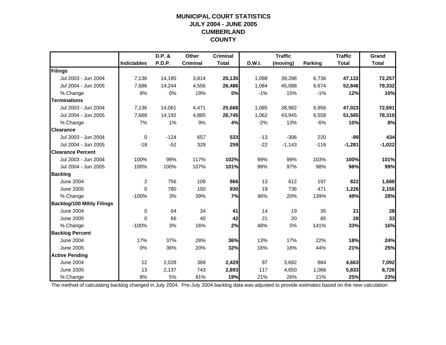## **MUNICIPAL COURT STATISTICSJULY 2004 - JUNE 2005 CUMBERLAND COUNTY**

|                                  |                    | D.P. & | Other           | <b>Criminal</b> |        | <b>Traffic</b> |                | <b>Traffic</b> | Grand        |
|----------------------------------|--------------------|--------|-----------------|-----------------|--------|----------------|----------------|----------------|--------------|
|                                  | <b>Indictables</b> | P.D.P. | <b>Criminal</b> | <b>Total</b>    | D.W.I. | (moving)       | <b>Parking</b> | <b>Total</b>   | <b>Total</b> |
| Filings                          |                    |        |                 |                 |        |                |                |                |              |
| Jul 2003 - Jun 2004              | 7,136              | 14,185 | 3,814           | 25,135          | 1,098  | 39,288         | 6,736          | 47,122         | 72,257       |
| Jul 2004 - Jun 2005              | 7,686              | 14,244 | 4,556           | 26,486          | 1,084  | 45,088         | 6,674          | 52,846         | 79,332       |
| % Change                         | 8%                 | 0%     | 19%             | 5%              | $-1%$  | 15%            | $-1%$          | 12%            | 10%          |
| <b>Terminations</b>              |                    |        |                 |                 |        |                |                |                |              |
| Jul 2003 - Jun 2004              | 7,136              | 14,061 | 4,471           | 25,668          | 1,085  | 38,982         | 6,956          | 47,023         | 72,691       |
| Jul 2004 - Jun 2005              | 7,668              | 14,192 | 4,885           | 26,745          | 1,062  | 43,945         | 6,558          | 51,565         | 78,310       |
| % Change                         | 7%                 | 1%     | 9%              | 4%              | $-2%$  | 13%            | $-6%$          | 10%            | 8%           |
| <b>Clearance</b>                 |                    |        |                 |                 |        |                |                |                |              |
| Jul 2003 - Jun 2004              | $\Omega$           | $-124$ | 657             | 533             | $-13$  | $-306$         | 220            | $-99$          | 434          |
| Jul 2004 - Jun 2005              | $-18$              | $-52$  | 329             | 259             | $-22$  | $-1,143$       | $-116$         | $-1,281$       | $-1,022$     |
| <b>Clearance Percent</b>         |                    |        |                 |                 |        |                |                |                |              |
| Jul 2003 - Jun 2004              | 100%               | 99%    | 117%            | 102%            | 99%    | 99%            | 103%           | 100%           | 101%         |
| Jul 2004 - Jun 2005              | 100%               | 100%   | 107%            | 101%            | 98%    | 97%            | 98%            | 98%            | 99%          |
| <b>Backlog</b>                   |                    |        |                 |                 |        |                |                |                |              |
| <b>June 2004</b>                 | $\overline{2}$     | 756    | 108             | 866             | 13     | 612            | 197            | 822            | 1,688        |
| June 2005                        | $\Omega$           | 780    | 150             | 930             | 19     | 736            | 471            | 1,226          | 2,156        |
| % Change                         | $-100%$            | 3%     | 39%             | 7%              | 46%    | 20%            | 139%           | 49%            | 28%          |
| <b>Backlog/100 Mthly Filings</b> |                    |        |                 |                 |        |                |                |                |              |
| <b>June 2004</b>                 | $\mathbf 0$        | 64     | 34              | 41              | 14     | 19             | 35             | 21             | 28           |
| <b>June 2005</b>                 | $\Omega$           | 66     | 40              | 42              | 21     | 20             | 85             | 28             | 33           |
| % Change                         | $-100%$            | 3%     | 16%             | 2%              | 48%    | 5%             | 141%           | 33%            | 16%          |
| <b>Backlog Percent</b>           |                    |        |                 |                 |        |                |                |                |              |
| <b>June 2004</b>                 | 17%                | 37%    | 28%             | 36%             | 13%    | 17%            | 22%            | 18%            | 24%          |
| <b>June 2005</b>                 | 0%                 | 36%    | 20%             | 32%             | 16%    | 16%            | 44%            | 21%            | 25%          |
| <b>Active Pending</b>            |                    |        |                 |                 |        |                |                |                |              |
| <b>June 2004</b>                 | 12                 | 2,028  | 389             | 2,429           | 97     | 3,682          | 884            | 4,663          | 7,092        |
| <b>June 2005</b>                 | 13                 | 2,137  | 743             | 2,893           | 117    | 4,650          | 1,066          | 5,833          | 8,726        |
| % Change                         | 8%                 | 5%     | 91%             | 19%             | 21%    | 26%            | 21%            | 25%            | 23%          |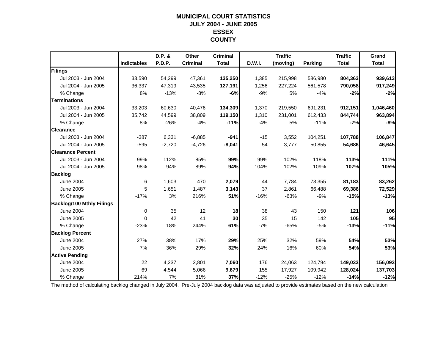## **MUNICIPAL COURT STATISTICSJULY 2004 - JUNE 2005 ESSEX COUNTY**

|                                  |                    | D.P. &   | Other           | <b>Criminal</b> |        | <b>Traffic</b> |                | <b>Traffic</b> | Grand        |
|----------------------------------|--------------------|----------|-----------------|-----------------|--------|----------------|----------------|----------------|--------------|
|                                  | <b>Indictables</b> | P.D.P.   | <b>Criminal</b> | <b>Total</b>    | D.W.I. | (moving)       | <b>Parking</b> | <b>Total</b>   | <b>Total</b> |
| Filings                          |                    |          |                 |                 |        |                |                |                |              |
| Jul 2003 - Jun 2004              | 33,590             | 54,299   | 47,361          | 135,250         | 1,385  | 215,998        | 586,980        | 804,363        | 939,613      |
| Jul 2004 - Jun 2005              | 36,337             | 47,319   | 43,535          | 127,191         | 1,256  | 227,224        | 561,578        | 790,058        | 917,249      |
| % Change                         | 8%                 | $-13%$   | $-8%$           | $-6%$           | $-9%$  | 5%             | $-4%$          | $-2%$          | $-2%$        |
| <b>Terminations</b>              |                    |          |                 |                 |        |                |                |                |              |
| Jul 2003 - Jun 2004              | 33,203             | 60,630   | 40,476          | 134,309         | 1,370  | 219,550        | 691,231        | 912,151        | 1,046,460    |
| Jul 2004 - Jun 2005              | 35,742             | 44,599   | 38,809          | 119,150         | 1,310  | 231,001        | 612,433        | 844,744        | 963,894      |
| % Change                         | 8%                 | $-26%$   | $-4%$           | $-11%$          | $-4%$  | 5%             | $-11%$         | $-7%$          | $-8%$        |
| <b>Clearance</b>                 |                    |          |                 |                 |        |                |                |                |              |
| Jul 2003 - Jun 2004              | $-387$             | 6,331    | $-6,885$        | $-941$          | $-15$  | 3,552          | 104,251        | 107,788        | 106,847      |
| Jul 2004 - Jun 2005              | $-595$             | $-2,720$ | $-4,726$        | $-8,041$        | 54     | 3,777          | 50,855         | 54,686         | 46,645       |
| <b>Clearance Percent</b>         |                    |          |                 |                 |        |                |                |                |              |
| Jul 2003 - Jun 2004              | 99%                | 112%     | 85%             | 99%             | 99%    | 102%           | 118%           | 113%           | 111%         |
| Jul 2004 - Jun 2005              | 98%                | 94%      | 89%             | 94%             | 104%   | 102%           | 109%           | 107%           | 105%         |
| <b>Backlog</b>                   |                    |          |                 |                 |        |                |                |                |              |
| <b>June 2004</b>                 | 6                  | 1,603    | 470             | 2,079           | 44     | 7,784          | 73,355         | 81,183         | 83,262       |
| June 2005                        | 5                  | 1,651    | 1,487           | 3,143           | 37     | 2,861          | 66,488         | 69,386         | 72,529       |
| % Change                         | $-17%$             | 3%       | 216%            | 51%             | $-16%$ | $-63%$         | $-9%$          | $-15%$         | $-13%$       |
| <b>Backlog/100 Mthly Filings</b> |                    |          |                 |                 |        |                |                |                |              |
| <b>June 2004</b>                 | 0                  | 35       | 12              | 18              | 38     | 43             | 150            | 121            | 106          |
| June 2005                        | $\Omega$           | 42       | 41              | 30 <sub>1</sub> | 35     | 15             | 142            | 105            | 95           |
| % Change                         | $-23%$             | 18%      | 244%            | 61%             | $-7%$  | $-65%$         | $-5%$          | $-13%$         | $-11%$       |
| <b>Backlog Percent</b>           |                    |          |                 |                 |        |                |                |                |              |
| <b>June 2004</b>                 | 27%                | 38%      | 17%             | 29%             | 25%    | 32%            | 59%            | 54%            | 53%          |
| <b>June 2005</b>                 | 7%                 | 36%      | 29%             | 32%             | 24%    | 16%            | 60%            | 54%            | 53%          |
| <b>Active Pending</b>            |                    |          |                 |                 |        |                |                |                |              |
| <b>June 2004</b>                 | 22                 | 4,237    | 2,801           | 7,060           | 176    | 24,063         | 124,794        | 149,033        | 156,093      |
| <b>June 2005</b>                 | 69                 | 4,544    | 5,066           | 9,679           | 155    | 17,927         | 109,942        | 128,024        | 137,703      |
| % Change                         | 214%               | 7%       | 81%             | 37%             | $-12%$ | $-25%$         | $-12%$         | $-14%$         | $-12%$       |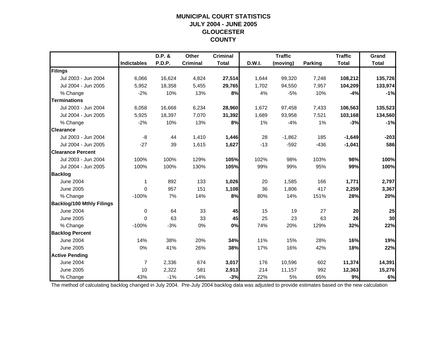## **MUNICIPAL COURT STATISTICSJULY 2004 - JUNE 2005 GLOUCESTER COUNTY**

|                                  |                    | D.P. & | Other           | <b>Criminal</b> |        | <b>Traffic</b> |         | <b>Traffic</b> | Grand        |
|----------------------------------|--------------------|--------|-----------------|-----------------|--------|----------------|---------|----------------|--------------|
|                                  | <b>Indictables</b> | P.D.P. | <b>Criminal</b> | <b>Total</b>    | D.W.I. | (moving)       | Parking | <b>Total</b>   | <b>Total</b> |
| Filings                          |                    |        |                 |                 |        |                |         |                |              |
| Jul 2003 - Jun 2004              | 6,066              | 16,624 | 4,824           | 27,514          | 1,644  | 99,320         | 7,248   | 108,212        | 135,726      |
| Jul 2004 - Jun 2005              | 5,952              | 18,358 | 5,455           | 29,765          | 1,702  | 94,550         | 7,957   | 104,209        | 133,974      |
| % Change                         | $-2%$              | 10%    | 13%             | 8%              | 4%     | $-5%$          | 10%     | $-4%$          | $-1%$        |
| <b>Terminations</b>              |                    |        |                 |                 |        |                |         |                |              |
| Jul 2003 - Jun 2004              | 6,058              | 16,668 | 6,234           | 28,960          | 1,672  | 97,458         | 7,433   | 106,563        | 135,523      |
| Jul 2004 - Jun 2005              | 5,925              | 18,397 | 7,070           | 31,392          | 1,689  | 93,958         | 7,521   | 103,168        | 134,560      |
| % Change                         | $-2%$              | 10%    | 13%             | 8%              | 1%     | $-4%$          | 1%      | $-3%$          | $-1%$        |
| <b>Clearance</b>                 |                    |        |                 |                 |        |                |         |                |              |
| Jul 2003 - Jun 2004              | -8                 | 44     | 1,410           | 1,446           | 28     | $-1,862$       | 185     | $-1,649$       | $-203$       |
| Jul 2004 - Jun 2005              | $-27$              | 39     | 1,615           | 1,627           | $-13$  | $-592$         | $-436$  | $-1,041$       | 586          |
| <b>Clearance Percent</b>         |                    |        |                 |                 |        |                |         |                |              |
| Jul 2003 - Jun 2004              | 100%               | 100%   | 129%            | 105%            | 102%   | 98%            | 103%    | 98%            | 100%         |
| Jul 2004 - Jun 2005              | 100%               | 100%   | 130%            | 105%            | 99%    | 99%            | 95%     | 99%            | 100%         |
| <b>Backlog</b>                   |                    |        |                 |                 |        |                |         |                |              |
| June 2004                        | 1                  | 892    | 133             | 1,026           | 20     | 1,585          | 166     | 1,771          | 2,797        |
| June 2005                        | $\Omega$           | 957    | 151             | 1,108           | 36     | 1,806          | 417     | 2,259          | 3,367        |
| % Change                         | $-100%$            | 7%     | 14%             | 8%              | 80%    | 14%            | 151%    | 28%            | 20%          |
| <b>Backlog/100 Mthly Filings</b> |                    |        |                 |                 |        |                |         |                |              |
| <b>June 2004</b>                 | $\mathbf 0$        | 64     | 33              | 45              | 15     | 19             | 27      | 20             | 25           |
| <b>June 2005</b>                 | $\mathbf{0}$       | 63     | 33              | 45              | 25     | 23             | 63      | 26             | 30           |
| % Change                         | $-100%$            | $-3%$  | 0%              | 0%              | 74%    | 20%            | 129%    | 32%            | 22%          |
| <b>Backlog Percent</b>           |                    |        |                 |                 |        |                |         |                |              |
| <b>June 2004</b>                 | 14%                | 38%    | 20%             | 34%             | 11%    | 15%            | 28%     | 16%            | 19%          |
| <b>June 2005</b>                 | 0%                 | 41%    | 26%             | 38%             | 17%    | 16%            | 42%     | 18%            | 22%          |
| <b>Active Pending</b>            |                    |        |                 |                 |        |                |         |                |              |
| <b>June 2004</b>                 | $\overline{7}$     | 2,336  | 674             | 3,017           | 176    | 10,596         | 602     | 11,374         | 14,391       |
| <b>June 2005</b>                 | 10                 | 2,322  | 581             | 2,913           | 214    | 11,157         | 992     | 12,363         | 15,276       |
| % Change                         | 43%                | $-1%$  | $-14%$          | $-3%$           | 22%    | 5%             | 65%     | 9%             | 6%           |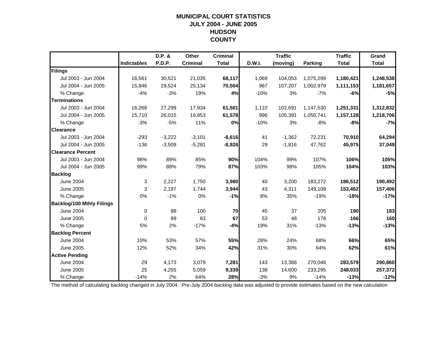#### **MUNICIPAL COURT STATISTICS JULY 2004 - JUNE 2005 HUDSON COUNTY**

|                                  |                    | D.P. &        | Other           | <b>Criminal</b> |        | <b>Traffic</b> |                | <b>Traffic</b> | Grand        |
|----------------------------------|--------------------|---------------|-----------------|-----------------|--------|----------------|----------------|----------------|--------------|
|                                  | <b>Indictables</b> | <b>P.D.P.</b> | <b>Criminal</b> | <b>Total</b>    | D.W.I. | (moving)       | <b>Parking</b> | <b>Total</b>   | <b>Total</b> |
| Filings                          |                    |               |                 |                 |        |                |                |                |              |
| Jul 2003 - Jun 2004              | 16,561             | 30,521        | 21,035          | 68,117          | 1,069  | 104,053        | 1,075,299      | 1,180,421      | 1,248,538    |
| Jul 2004 - Jun 2005              | 15,846             | 29,524        | 25,134          | 70,504          | 967    | 107,207        | 1,002,979      | 1,111,153      | 1,181,657    |
| % Change                         | $-4%$              | $-3%$         | 19%             | 4%              | $-10%$ | 3%             | $-7%$          | $-6%$          | $-5%$        |
| <b>Terminations</b>              |                    |               |                 |                 |        |                |                |                |              |
| Jul 2003 - Jun 2004              | 16,268             | 27,299        | 17,934          | 61,501          | 1,110  | 102,691        | 1,147,530      | 1,251,331      | 1,312,832    |
| Jul 2004 - Jun 2005              | 15,710             | 26,015        | 19,853          | 61,578          | 996    | 105,391        | 1,050,741      | 1,157,128      | 1,218,706    |
| % Change                         | $-3%$              | $-5%$         | 11%             | 0%              | $-10%$ | 3%             | $-8%$          | $-8%$          | $-7%$        |
| <b>Clearance</b>                 |                    |               |                 |                 |        |                |                |                |              |
| Jul 2003 - Jun 2004              | $-293$             | $-3,222$      | $-3,101$        | $-6,616$        | 41     | $-1,362$       | 72,231         | 70,910         | 64,294       |
| Jul 2004 - Jun 2005              | $-136$             | $-3,509$      | $-5,281$        | $-8,926$        | 29     | $-1,816$       | 47,762         | 45,975         | 37,049       |
| <b>Clearance Percent</b>         |                    |               |                 |                 |        |                |                |                |              |
| Jul 2003 - Jun 2004              | 98%                | 89%           | 85%             | 90%             | 104%   | 99%            | 107%           | 106%           | 105%         |
| Jul 2004 - Jun 2005              | 99%                | 88%           | 79%             | 87%             | 103%   | 98%            | 105%           | 104%           | 103%         |
| <b>Backlog</b>                   |                    |               |                 |                 |        |                |                |                |              |
| <b>June 2004</b>                 | 3                  | 2,227         | 1,750           | 3,980           | 40     | 3,200          | 183,272        | 186,512        | 190,492      |
| <b>June 2005</b>                 | 3                  | 2,197         | 1,744           | 3,944           | 43     | 4,311          | 149,108        | 153,462        | 157,406      |
| % Change                         | 0%                 | $-1%$         | 0%              | $-1%$           | 8%     | 35%            | $-19%$         | $-18%$         | $-17%$       |
| <b>Backlog/100 Mthly Filings</b> |                    |               |                 |                 |        |                |                |                |              |
| <b>June 2004</b>                 | $\mathbf 0$        | 88            | 100             | 70              | 45     | 37             | 205            | 190            | 183          |
| <b>June 2005</b>                 | $\Omega$           | 89            | 83              | 67              | 53     | 48             | 178            | 166            | 160          |
| % Change                         | 5%                 | 2%            | $-17%$          | $-4%$           | 19%    | 31%            | $-13%$         | $-13%$         | $-13%$       |
| <b>Backlog Percent</b>           |                    |               |                 |                 |        |                |                |                |              |
| <b>June 2004</b>                 | 10%                | 53%           | 57%             | 55%             | 28%    | 24%            | 68%            | 66%            | 65%          |
| <b>June 2005</b>                 | 12%                | 52%           | 34%             | 42%             | 31%    | 30%            | 64%            | 62%            | 61%          |
| <b>Active Pending</b>            |                    |               |                 |                 |        |                |                |                |              |
| <b>June 2004</b>                 | 29                 | 4,173         | 3,079           | 7,281           | 143    | 13,388         | 270,048        | 283,579        | 290,860      |
| <b>June 2005</b>                 | 25                 | 4,255         | 5,059           | 9,339           | 138    | 14,600         | 233,295        | 248,033        | 257,372      |
| % Change                         | $-14%$             | 2%            | 64%             | 28%             | $-3%$  | 9%             | $-14%$         | $-13%$         | $-12%$       |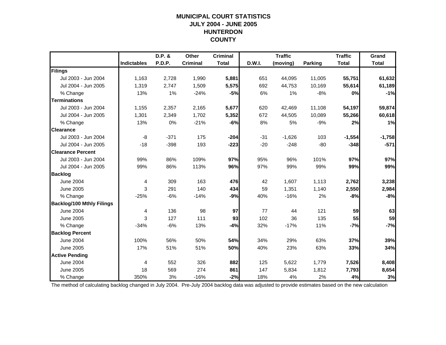## **MUNICIPAL COURT STATISTICSJULY 2004 - JUNE 2005 HUNTERDON COUNTY**

|                                  |                    | D.P. &        | Other           | <b>Criminal</b> |        | <b>Traffic</b> |                | <b>Traffic</b> | Grand        |
|----------------------------------|--------------------|---------------|-----------------|-----------------|--------|----------------|----------------|----------------|--------------|
|                                  | <b>Indictables</b> | <b>P.D.P.</b> | <b>Criminal</b> | <b>Total</b>    | D.W.I. | (moving)       | <b>Parking</b> | <b>Total</b>   | <b>Total</b> |
| Filings                          |                    |               |                 |                 |        |                |                |                |              |
| Jul 2003 - Jun 2004              | 1,163              | 2,728         | 1,990           | 5,881           | 651    | 44,095         | 11,005         | 55,751         | 61,632       |
| Jul 2004 - Jun 2005              | 1,319              | 2,747         | 1,509           | 5,575           | 692    | 44,753         | 10,169         | 55,614         | 61,189       |
| % Change                         | 13%                | 1%            | $-24%$          | $-5%$           | 6%     | 1%             | $-8%$          | 0%             | $-1%$        |
| <b>Terminations</b>              |                    |               |                 |                 |        |                |                |                |              |
| Jul 2003 - Jun 2004              | 1,155              | 2,357         | 2,165           | 5,677           | 620    | 42,469         | 11,108         | 54,197         | 59,874       |
| Jul 2004 - Jun 2005              | 1,301              | 2,349         | 1,702           | 5,352           | 672    | 44,505         | 10,089         | 55,266         | 60,618       |
| % Change                         | 13%                | 0%            | $-21%$          | $-6%$           | 8%     | 5%             | $-9%$          | 2%             | 1%           |
| <b>Clearance</b>                 |                    |               |                 |                 |        |                |                |                |              |
| Jul 2003 - Jun 2004              | -8                 | $-371$        | 175             | $-204$          | $-31$  | $-1,626$       | 103            | $-1,554$       | $-1,758$     |
| Jul 2004 - Jun 2005              | $-18$              | $-398$        | 193             | $-223$          | $-20$  | $-248$         | $-80$          | $-348$         | $-571$       |
| <b>Clearance Percent</b>         |                    |               |                 |                 |        |                |                |                |              |
| Jul 2003 - Jun 2004              | 99%                | 86%           | 109%            | 97%             | 95%    | 96%            | 101%           | 97%            | 97%          |
| Jul 2004 - Jun 2005              | 99%                | 86%           | 113%            | 96%             | 97%    | 99%            | 99%            | 99%            | 99%          |
| <b>Backlog</b>                   |                    |               |                 |                 |        |                |                |                |              |
| <b>June 2004</b>                 | 4                  | 309           | 163             | 476             | 42     | 1,607          | 1,113          | 2,762          | 3,238        |
| <b>June 2005</b>                 | 3                  | 291           | 140             | 434             | 59     | 1,351          | 1,140          | 2,550          | 2,984        |
| % Change                         | $-25%$             | $-6%$         | $-14%$          | $-9%$           | 40%    | $-16%$         | 2%             | $-8%$          | $-8%$        |
| <b>Backlog/100 Mthly Filings</b> |                    |               |                 |                 |        |                |                |                |              |
| <b>June 2004</b>                 | 4                  | 136           | 98              | 97              | 77     | 44             | 121            | 59             | 63           |
| <b>June 2005</b>                 | 3                  | 127           | 111             | 93              | 102    | 36             | 135            | 55             | 59           |
| % Change                         | $-34%$             | $-6%$         | 13%             | $-4%$           | 32%    | $-17%$         | 11%            | $-7%$          | $-7%$        |
| <b>Backlog Percent</b>           |                    |               |                 |                 |        |                |                |                |              |
| <b>June 2004</b>                 | 100%               | 56%           | 50%             | 54%             | 34%    | 29%            | 63%            | 37%            | 39%          |
| <b>June 2005</b>                 | 17%                | 51%           | 51%             | 50%             | 40%    | 23%            | 63%            | 33%            | 34%          |
| <b>Active Pending</b>            |                    |               |                 |                 |        |                |                |                |              |
| <b>June 2004</b>                 | $\overline{4}$     | 552           | 326             | 882             | 125    | 5,622          | 1,779          | 7,526          | 8,408        |
| <b>June 2005</b>                 | 18                 | 569           | 274             | 861             | 147    | 5,834          | 1,812          | 7,793          | 8,654        |
| % Change                         | 350%               | 3%            | $-16%$          | $-2%$           | 18%    | 4%             | 2%             | 4%             | 3%           |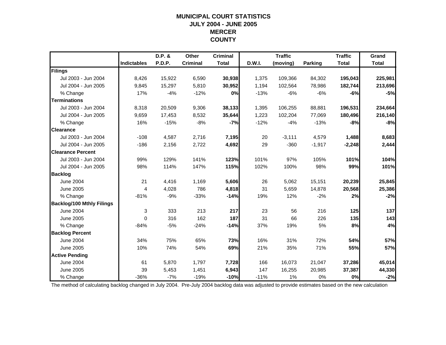#### **MUNICIPAL COURT STATISTICS JULY 2004 - JUNE 2005 MERCER COUNTY**

|                                  |                    | D.P. &        | Other           | <b>Criminal</b> |        | <b>Traffic</b> |                | <b>Traffic</b> | Grand        |
|----------------------------------|--------------------|---------------|-----------------|-----------------|--------|----------------|----------------|----------------|--------------|
|                                  | <b>Indictables</b> | <b>P.D.P.</b> | <b>Criminal</b> | <b>Total</b>    | D.W.I. | (moving)       | <b>Parking</b> | <b>Total</b>   | <b>Total</b> |
| Filings                          |                    |               |                 |                 |        |                |                |                |              |
| Jul 2003 - Jun 2004              | 8,426              | 15,922        | 6,590           | 30,938          | 1,375  | 109,366        | 84,302         | 195,043        | 225,981      |
| Jul 2004 - Jun 2005              | 9,845              | 15,297        | 5,810           | 30,952          | 1,194  | 102,564        | 78,986         | 182,744        | 213,696      |
| % Change                         | 17%                | $-4%$         | $-12%$          | 0%              | $-13%$ | $-6%$          | $-6%$          | $-6%$          | $-5%$        |
| <b>Terminations</b>              |                    |               |                 |                 |        |                |                |                |              |
| Jul 2003 - Jun 2004              | 8,318              | 20,509        | 9,306           | 38,133          | 1,395  | 106,255        | 88,881         | 196,531        | 234,664      |
| Jul 2004 - Jun 2005              | 9,659              | 17,453        | 8,532           | 35,644          | 1,223  | 102,204        | 77,069         | 180,496        | 216,140      |
| % Change                         | 16%                | $-15%$        | $-8%$           | -7%             | $-12%$ | $-4%$          | $-13%$         | $-8%$          | $-8%$        |
| <b>Clearance</b>                 |                    |               |                 |                 |        |                |                |                |              |
| Jul 2003 - Jun 2004              | $-108$             | 4,587         | 2,716           | 7,195           | 20     | $-3,111$       | 4,579          | 1,488          | 8,683        |
| Jul 2004 - Jun 2005              | $-186$             | 2,156         | 2,722           | 4,692           | 29     | $-360$         | $-1,917$       | $-2,248$       | 2,444        |
| <b>Clearance Percent</b>         |                    |               |                 |                 |        |                |                |                |              |
| Jul 2003 - Jun 2004              | 99%                | 129%          | 141%            | 123%            | 101%   | 97%            | 105%           | 101%           | 104%         |
| Jul 2004 - Jun 2005              | 98%                | 114%          | 147%            | 115%            | 102%   | 100%           | 98%            | 99%            | 101%         |
| <b>Backlog</b>                   |                    |               |                 |                 |        |                |                |                |              |
| <b>June 2004</b>                 | 21                 | 4,416         | 1,169           | 5,606           | 26     | 5,062          | 15,151         | 20,239         | 25,845       |
| June 2005                        | $\overline{4}$     | 4,028         | 786             | 4,818           | 31     | 5,659          | 14,878         | 20,568         | 25,386       |
| % Change                         | $-81%$             | $-9%$         | $-33%$          | $-14%$          | 19%    | 12%            | $-2%$          | 2%             | $-2%$        |
| <b>Backlog/100 Mthly Filings</b> |                    |               |                 |                 |        |                |                |                |              |
| <b>June 2004</b>                 | 3                  | 333           | 213             | 217             | 23     | 56             | 216            | 125            | 137          |
| June 2005                        | $\mathbf{0}$       | 316           | 162             | 187             | 31     | 66             | 226            | 135            | 143          |
| % Change                         | $-84%$             | $-5%$         | $-24%$          | $-14%$          | 37%    | 19%            | 5%             | 8%             | 4%           |
| <b>Backlog Percent</b>           |                    |               |                 |                 |        |                |                |                |              |
| <b>June 2004</b>                 | 34%                | 75%           | 65%             | 73%             | 16%    | 31%            | 72%            | 54%            | 57%          |
| <b>June 2005</b>                 | 10%                | 74%           | 54%             | 69%             | 21%    | 35%            | 71%            | 55%            | 57%          |
| <b>Active Pending</b>            |                    |               |                 |                 |        |                |                |                |              |
| <b>June 2004</b>                 | 61                 | 5,870         | 1,797           | 7,728           | 166    | 16,073         | 21,047         | 37,286         | 45,014       |
| <b>June 2005</b>                 | 39                 | 5,453         | 1,451           | 6,943           | 147    | 16,255         | 20,985         | 37,387         | 44,330       |
| % Change                         | $-36%$             | $-7%$         | $-19%$          | $-10%$          | $-11%$ | 1%             | 0%             | 0%             | $-2%$        |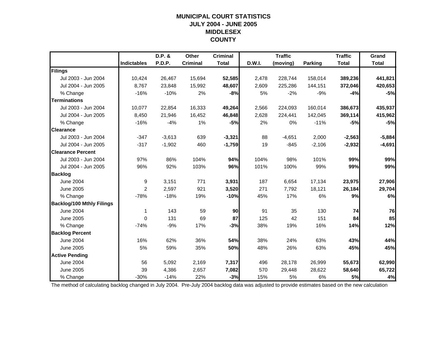## **MUNICIPAL COURT STATISTICSJULY 2004 - JUNE 2005 MIDDLESEX COUNTY**

|                                  |                    | D.P. &   | Other           | <b>Criminal</b> |        | <b>Traffic</b> |                | <b>Traffic</b> | Grand        |
|----------------------------------|--------------------|----------|-----------------|-----------------|--------|----------------|----------------|----------------|--------------|
|                                  | <b>Indictables</b> | P.D.P.   | <b>Criminal</b> | <b>Total</b>    | D.W.I. | (moving)       | <b>Parking</b> | <b>Total</b>   | <b>Total</b> |
| Filings                          |                    |          |                 |                 |        |                |                |                |              |
| Jul 2003 - Jun 2004              | 10,424             | 26,467   | 15,694          | 52,585          | 2,478  | 228,744        | 158,014        | 389,236        | 441,821      |
| Jul 2004 - Jun 2005              | 8,767              | 23,848   | 15,992          | 48,607          | 2,609  | 225,286        | 144,151        | 372,046        | 420,653      |
| % Change                         | $-16%$             | $-10%$   | 2%              | -8%             | 5%     | $-2%$          | $-9%$          | $-4%$          | $-5%$        |
| <b>Terminations</b>              |                    |          |                 |                 |        |                |                |                |              |
| Jul 2003 - Jun 2004              | 10,077             | 22,854   | 16,333          | 49,264          | 2,566  | 224,093        | 160,014        | 386,673        | 435,937      |
| Jul 2004 - Jun 2005              | 8,450              | 21,946   | 16,452          | 46,848          | 2,628  | 224,441        | 142,045        | 369,114        | 415,962      |
| % Change                         | $-16%$             | $-4%$    | 1%              | $-5%$           | 2%     | 0%             | $-11%$         | $-5%$          | $-5%$        |
| <b>Clearance</b>                 |                    |          |                 |                 |        |                |                |                |              |
| Jul 2003 - Jun 2004              | $-347$             | $-3,613$ | 639             | $-3,321$        | 88     | $-4,651$       | 2,000          | $-2,563$       | $-5,884$     |
| Jul 2004 - Jun 2005              | $-317$             | $-1,902$ | 460             | $-1,759$        | 19     | $-845$         | $-2,106$       | $-2,932$       | $-4,691$     |
| <b>Clearance Percent</b>         |                    |          |                 |                 |        |                |                |                |              |
| Jul 2003 - Jun 2004              | 97%                | 86%      | 104%            | 94%             | 104%   | 98%            | 101%           | 99%            | 99%          |
| Jul 2004 - Jun 2005              | 96%                | 92%      | 103%            | 96%             | 101%   | 100%           | 99%            | 99%            | 99%          |
| <b>Backlog</b>                   |                    |          |                 |                 |        |                |                |                |              |
| <b>June 2004</b>                 | 9                  | 3,151    | 771             | 3,931           | 187    | 6,654          | 17,134         | 23,975         | 27,906       |
| June 2005                        | 2                  | 2,597    | 921             | 3,520           | 271    | 7,792          | 18,121         | 26,184         | 29,704       |
| % Change                         | $-78%$             | $-18%$   | 19%             | $-10%$          | 45%    | 17%            | 6%             | 9%             | 6%           |
| <b>Backlog/100 Mthly Filings</b> |                    |          |                 |                 |        |                |                |                |              |
| <b>June 2004</b>                 | 1                  | 143      | 59              | 90              | 91     | 35             | 130            | 74             | 76           |
| <b>June 2005</b>                 | $\Omega$           | 131      | 69              | 87              | 125    | 42             | 151            | 84             | 85           |
| % Change                         | $-74%$             | $-9%$    | 17%             | $-3%$           | 38%    | 19%            | 16%            | 14%            | 12%          |
| <b>Backlog Percent</b>           |                    |          |                 |                 |        |                |                |                |              |
| <b>June 2004</b>                 | 16%                | 62%      | 36%             | 54%             | 38%    | 24%            | 63%            | 43%            | 44%          |
| <b>June 2005</b>                 | 5%                 | 59%      | 35%             | 50%             | 48%    | 26%            | 63%            | 45%            | 45%          |
| <b>Active Pending</b>            |                    |          |                 |                 |        |                |                |                |              |
| <b>June 2004</b>                 | 56                 | 5,092    | 2,169           | 7,317           | 496    | 28,178         | 26,999         | 55,673         | 62,990       |
| <b>June 2005</b>                 | 39                 | 4,386    | 2,657           | 7,082           | 570    | 29,448         | 28,622         | 58,640         | 65,722       |
| % Change                         | $-30%$             | $-14%$   | 22%             | $-3%$           | 15%    | 5%             | 6%             | 5%             | 4%           |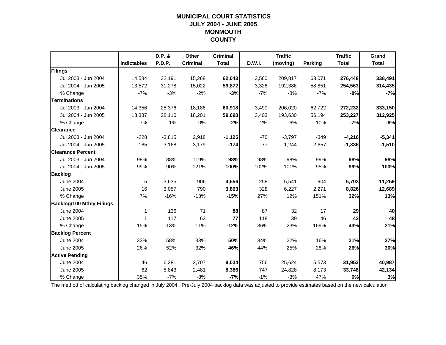## **MUNICIPAL COURT STATISTICSJULY 2004 - JUNE 2005 MONMOUTH COUNTY**

|                                  |                    | D.P. &   | Other           | <b>Criminal</b> |        | <b>Traffic</b> |                | <b>Traffic</b> | Grand        |
|----------------------------------|--------------------|----------|-----------------|-----------------|--------|----------------|----------------|----------------|--------------|
|                                  | <b>Indictables</b> | P.D.P.   | <b>Criminal</b> | <b>Total</b>    | D.W.I. | (moving)       | <b>Parking</b> | <b>Total</b>   | <b>Total</b> |
| Filings                          |                    |          |                 |                 |        |                |                |                |              |
| Jul 2003 - Jun 2004              | 14,584             | 32,191   | 15,268          | 62,043          | 3,560  | 209,817        | 63,071         | 276,448        | 338,491      |
| Jul 2004 - Jun 2005              | 13,572             | 31,278   | 15,022          | 59,872          | 3,326  | 192,386        | 58,851         | 254,563        | 314,435      |
| % Change                         | $-7%$              | $-3%$    | $-2%$           | $-3%$           | $-7%$  | $-8%$          | $-7%$          | $-8%$          | $-7%$        |
| <b>Terminations</b>              |                    |          |                 |                 |        |                |                |                |              |
| Jul 2003 - Jun 2004              | 14,356             | 28,376   | 18,186          | 60,918          | 3,490  | 206,020        | 62,722         | 272,232        | 333,150      |
| Jul 2004 - Jun 2005              | 13,387             | 28,110   | 18,201          | 59,698          | 3,403  | 193,630        | 56,194         | 253,227        | 312,925      |
| % Change                         | $-7%$              | $-1%$    | 0%              | $-2%$           | $-2%$  | $-6%$          | $-10%$         | $-7%$          | $-6%$        |
| <b>Clearance</b>                 |                    |          |                 |                 |        |                |                |                |              |
| Jul 2003 - Jun 2004              | $-228$             | $-3,815$ | 2,918           | $-1,125$        | $-70$  | $-3,797$       | $-349$         | $-4,216$       | $-5,341$     |
| Jul 2004 - Jun 2005              | $-185$             | $-3,168$ | 3,179           | $-174$          | 77     | 1,244          | $-2,657$       | $-1,336$       | $-1,510$     |
| <b>Clearance Percent</b>         |                    |          |                 |                 |        |                |                |                |              |
| Jul 2003 - Jun 2004              | 98%                | 88%      | 119%            | 98%             | 98%    | 98%            | 99%            | 98%            | 98%          |
| Jul 2004 - Jun 2005              | 99%                | 90%      | 121%            | 100%            | 102%   | 101%           | 95%            | 99%            | 100%         |
| <b>Backlog</b>                   |                    |          |                 |                 |        |                |                |                |              |
| <b>June 2004</b>                 | 15                 | 3,635    | 906             | 4,556           | 258    | 5,541          | 904            | 6,703          | 11,259       |
| <b>June 2005</b>                 | 16                 | 3,057    | 790             | 3,863           | 328    | 6,227          | 2,271          | 8,826          | 12,689       |
| % Change                         | 7%                 | $-16%$   | $-13%$          | $-15%$          | 27%    | 12%            | 151%           | 32%            | 13%          |
| <b>Backlog/100 Mthly Filings</b> |                    |          |                 |                 |        |                |                |                |              |
| <b>June 2004</b>                 | 1                  | 136      | 71              | 88              | 87     | 32             | 17             | 29             | 40           |
| <b>June 2005</b>                 | 1                  | 117      | 63              | 77              | 118    | 39             | 46             | 42             | 48           |
| % Change                         | 15%                | $-13%$   | $-11%$          | $-12%$          | 36%    | 23%            | 169%           | 43%            | 21%          |
| <b>Backlog Percent</b>           |                    |          |                 |                 |        |                |                |                |              |
| <b>June 2004</b>                 | 33%                | 58%      | 33%             | 50%             | 34%    | 22%            | 16%            | 21%            | 27%          |
| <b>June 2005</b>                 | 26%                | 52%      | 32%             | 46%             | 44%    | 25%            | 28%            | 26%            | 30%          |
| <b>Active Pending</b>            |                    |          |                 |                 |        |                |                |                |              |
| <b>June 2004</b>                 | 46                 | 6,281    | 2,707           | 9,034           | 756    | 25,624         | 5,573          | 31,953         | 40,987       |
| <b>June 2005</b>                 | 62                 | 5,843    | 2,481           | 8,386           | 747    | 24,828         | 8,173          | 33,748         | 42,134       |
| % Change                         | 35%                | $-7%$    | $-8%$           | $-7%$           | $-1%$  | $-3%$          | 47%            | 6%             | 3%           |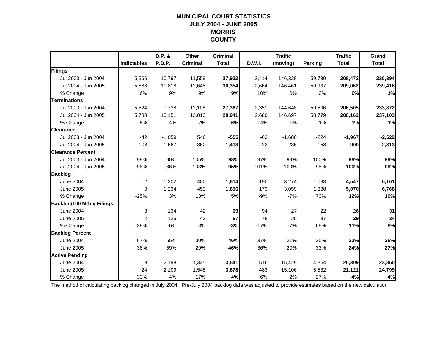#### **MUNICIPAL COURT STATISTICS JULY 2004 - JUNE 2005 MORRIS COUNTY**

|                                  |                    | D.P. &   | <b>Other</b>    | <b>Criminal</b> |        | <b>Traffic</b> |                | <b>Traffic</b> | Grand        |
|----------------------------------|--------------------|----------|-----------------|-----------------|--------|----------------|----------------|----------------|--------------|
|                                  | <b>Indictables</b> | P.D.P.   | <b>Criminal</b> | <b>Total</b>    | D.W.I. | (moving)       | <b>Parking</b> | <b>Total</b>   | <b>Total</b> |
| Filings                          |                    |          |                 |                 |        |                |                |                |              |
| Jul 2003 - Jun 2004              | 5,566              | 10,797   | 11,559          | 27,922          | 2,414  | 146,328        | 59,730         | 208,472        | 236,394      |
| Jul 2004 - Jun 2005              | 5,888              | 11,818   | 12,648          | 30,354          | 2,664  | 146,461        | 59,937         | 209,062        | 239,416      |
| % Change                         | 6%                 | 9%       | 9%              | 9%              | 10%    | 0%             | 0%             | 0%             | 1%           |
| <b>Terminations</b>              |                    |          |                 |                 |        |                |                |                |              |
| Jul 2003 - Jun 2004              | 5,524              | 9,738    | 12,105          | 27,367          | 2,351  | 144,648        | 59,506         | 206,505        | 233,872      |
| Jul 2004 - Jun 2005              | 5,780              | 10,151   | 13,010          | 28,941          | 2,686  | 146,697        | 58,779         | 208,162        | 237,103      |
| % Change                         | 5%                 | 4%       | 7%              | 6%              | 14%    | 1%             | $-1%$          | 1%             | 1%           |
| <b>Clearance</b>                 |                    |          |                 |                 |        |                |                |                |              |
| Jul 2003 - Jun 2004              | $-42$              | $-1,059$ | 546             | $-555$          | $-63$  | $-1,680$       | $-224$         | $-1,967$       | $-2,522$     |
| Jul 2004 - Jun 2005              | $-108$             | $-1,667$ | 362             | $-1,413$        | 22     | 236            | $-1,158$       | $-900$         | $-2,313$     |
| <b>Clearance Percent</b>         |                    |          |                 |                 |        |                |                |                |              |
| Jul 2003 - Jun 2004              | 99%                | 90%      | 105%            | 98%             | 97%    | 99%            | 100%           | 99%            | 99%          |
| Jul 2004 - Jun 2005              | 98%                | 86%      | 103%            | 95%             | 101%   | 100%           | 98%            | 100%           | 99%          |
| <b>Backlog</b>                   |                    |          |                 |                 |        |                |                |                |              |
| <b>June 2004</b>                 | 12                 | 1,202    | 400             | 1,614           | 190    | 3,274          | 1,083          | 4,547          | 6,161        |
| <b>June 2005</b>                 | 9                  | 1,234    | 453             | 1,696           | 173    | 3,059          | 1,838          | 5,070          | 6,766        |
| % Change                         | $-25%$             | 3%       | 13%             | 5%              | $-9%$  | $-7%$          | 70%            | 12%            | 10%          |
| <b>Backlog/100 Mthly Filings</b> |                    |          |                 |                 |        |                |                |                |              |
| <b>June 2004</b>                 | $\mathbf{3}$       | 134      | 42              | 69              | 94     | 27             | 22             | 26             | 31           |
| <b>June 2005</b>                 | $\overline{2}$     | 125      | 43              | 67              | 78     | 25             | 37             | 29             | 34           |
| % Change                         | $-29%$             | $-6%$    | 3%              | $-3%$           | $-17%$ | $-7%$          | 69%            | 11%            | 8%           |
| <b>Backlog Percent</b>           |                    |          |                 |                 |        |                |                |                |              |
| <b>June 2004</b>                 | 67%                | 55%      | 30%             | 46%             | 37%    | 21%            | 25%            | 22%            | 26%          |
| June 2005                        | 38%                | 59%      | 29%             | 46%             | 36%    | 20%            | 33%            | 24%            | 27%          |
| <b>Active Pending</b>            |                    |          |                 |                 |        |                |                |                |              |
| <b>June 2004</b>                 | 18                 | 2,198    | 1,325           | 3,541           | 516    | 15,429         | 4,364          | 20,309         | 23,850       |
| <b>June 2005</b>                 | 24                 | 2,109    | 1,545           | 3,678           | 483    | 15,106         | 5,532          | 21,121         | 24,799       |
| % Change                         | 33%                | $-4%$    | 17%             | 4%              | $-6%$  | $-2%$          | 27%            | 4%             | 4%           |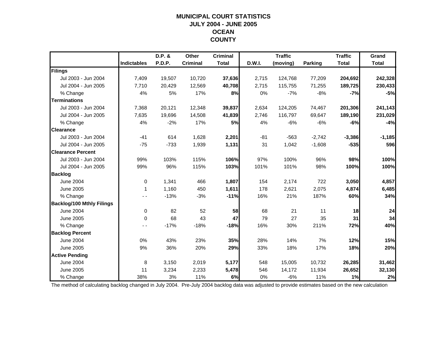## **MUNICIPAL COURT STATISTICSJULY 2004 - JUNE 2005 OCEAN COUNTY**

|                                  |                    | D.P. &        | <b>Other</b>    | <b>Criminal</b> |        | <b>Traffic</b> |          | <b>Traffic</b> | Grand        |
|----------------------------------|--------------------|---------------|-----------------|-----------------|--------|----------------|----------|----------------|--------------|
|                                  | <b>Indictables</b> | <b>P.D.P.</b> | <b>Criminal</b> | <b>Total</b>    | D.W.I. | (moving)       | Parking  | <b>Total</b>   | <b>Total</b> |
| Filings                          |                    |               |                 |                 |        |                |          |                |              |
| Jul 2003 - Jun 2004              | 7,409              | 19,507        | 10,720          | 37,636          | 2,715  | 124,768        | 77,209   | 204,692        | 242,328      |
| Jul 2004 - Jun 2005              | 7,710              | 20,429        | 12,569          | 40,708          | 2,715  | 115,755        | 71,255   | 189,725        | 230,433      |
| % Change                         | 4%                 | 5%            | 17%             | 8%              | 0%     | $-7%$          | $-8%$    | $-7%$          | $-5%$        |
| <b>Terminations</b>              |                    |               |                 |                 |        |                |          |                |              |
| Jul 2003 - Jun 2004              | 7,368              | 20,121        | 12,348          | 39,837          | 2,634  | 124,205        | 74,467   | 201,306        | 241,143      |
| Jul 2004 - Jun 2005              | 7,635              | 19,696        | 14,508          | 41,839          | 2,746  | 116,797        | 69,647   | 189,190        | 231,029      |
| % Change                         | 4%                 | $-2%$         | 17%             | 5%              | 4%     | $-6%$          | $-6%$    | $-6%$          | $-4%$        |
| <b>Clearance</b>                 |                    |               |                 |                 |        |                |          |                |              |
| Jul 2003 - Jun 2004              | $-41$              | 614           | 1,628           | 2,201           | $-81$  | $-563$         | $-2,742$ | $-3,386$       | $-1,185$     |
| Jul 2004 - Jun 2005              | $-75$              | $-733$        | 1,939           | 1,131           | 31     | 1,042          | $-1,608$ | $-535$         | 596          |
| <b>Clearance Percent</b>         |                    |               |                 |                 |        |                |          |                |              |
| Jul 2003 - Jun 2004              | 99%                | 103%          | 115%            | 106%            | 97%    | 100%           | 96%      | 98%            | 100%         |
| Jul 2004 - Jun 2005              | 99%                | 96%           | 115%            | 103%            | 101%   | 101%           | 98%      | 100%           | 100%         |
| <b>Backlog</b>                   |                    |               |                 |                 |        |                |          |                |              |
| June 2004                        | $\Omega$           | 1,341         | 466             | 1,807           | 154    | 2,174          | 722      | 3,050          | 4,857        |
| <b>June 2005</b>                 | 1                  | 1,160         | 450             | 1,611           | 178    | 2,621          | 2,075    | 4,874          | 6,485        |
| % Change                         |                    | $-13%$        | $-3%$           | $-11%$          | 16%    | 21%            | 187%     | 60%            | 34%          |
| <b>Backlog/100 Mthly Filings</b> |                    |               |                 |                 |        |                |          |                |              |
| <b>June 2004</b>                 | $\mathbf 0$        | 82            | 52              | 58              | 68     | 21             | 11       | 18             | 24           |
| June 2005                        | $\mathbf 0$        | 68            | 43              | 47              | 79     | 27             | 35       | 31             | 34           |
| % Change                         |                    | $-17%$        | $-18%$          | $-18%$          | 16%    | 30%            | 211%     | 72%            | 40%          |
| <b>Backlog Percent</b>           |                    |               |                 |                 |        |                |          |                |              |
| <b>June 2004</b>                 | 0%                 | 43%           | 23%             | 35%             | 28%    | 14%            | 7%       | 12%            | 15%          |
| June 2005                        | 9%                 | 36%           | 20%             | 29%             | 33%    | 18%            | 17%      | 18%            | 20%          |
| <b>Active Pending</b>            |                    |               |                 |                 |        |                |          |                |              |
| <b>June 2004</b>                 | 8                  | 3,150         | 2,019           | 5,177           | 548    | 15,005         | 10,732   | 26,285         | 31,462       |
| <b>June 2005</b>                 | 11                 | 3,234         | 2,233           | 5,478           | 546    | 14,172         | 11,934   | 26,652         | 32,130       |
| % Change                         | 38%                | 3%            | 11%             | 6%              | 0%     | $-6%$          | 11%      | 1%             | 2%           |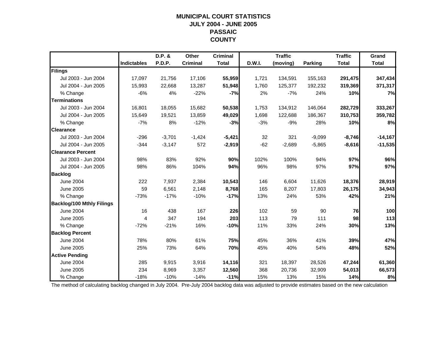#### **MUNICIPAL COURT STATISTICS JULY 2004 - JUNE 2005 PASSAIC COUNTY**

|                                  |                    | D.P. &   | Other           | <b>Criminal</b> |        | <b>Traffic</b> |                | <b>Traffic</b> | Grand        |
|----------------------------------|--------------------|----------|-----------------|-----------------|--------|----------------|----------------|----------------|--------------|
|                                  | <b>Indictables</b> | P.D.P.   | <b>Criminal</b> | <b>Total</b>    | D.W.I. | (moving)       | <b>Parking</b> | <b>Total</b>   | <b>Total</b> |
| Filings                          |                    |          |                 |                 |        |                |                |                |              |
| Jul 2003 - Jun 2004              | 17,097             | 21,756   | 17,106          | 55,959          | 1,721  | 134,591        | 155,163        | 291,475        | 347,434      |
| Jul 2004 - Jun 2005              | 15,993             | 22,668   | 13,287          | 51,948          | 1,760  | 125,377        | 192,232        | 319,369        | 371,317      |
| % Change                         | $-6%$              | 4%       | $-22%$          | $-7%$           | 2%     | $-7%$          | 24%            | 10%            | 7%           |
| <b>Terminations</b>              |                    |          |                 |                 |        |                |                |                |              |
| Jul 2003 - Jun 2004              | 16,801             | 18,055   | 15,682          | 50,538          | 1,753  | 134,912        | 146,064        | 282,729        | 333,267      |
| Jul 2004 - Jun 2005              | 15,649             | 19,521   | 13,859          | 49,029          | 1,698  | 122,688        | 186,367        | 310,753        | 359,782      |
| % Change                         | $-7%$              | 8%       | $-12%$          | $-3%$           | $-3%$  | $-9%$          | 28%            | 10%            | 8%           |
| <b>Clearance</b>                 |                    |          |                 |                 |        |                |                |                |              |
| Jul 2003 - Jun 2004              | $-296$             | $-3,701$ | $-1,424$        | $-5,421$        | 32     | 321            | $-9,099$       | $-8,746$       | $-14,167$    |
| Jul 2004 - Jun 2005              | $-344$             | $-3,147$ | 572             | $-2,919$        | $-62$  | $-2,689$       | $-5,865$       | $-8,616$       | $-11,535$    |
| <b>Clearance Percent</b>         |                    |          |                 |                 |        |                |                |                |              |
| Jul 2003 - Jun 2004              | 98%                | 83%      | 92%             | 90%             | 102%   | 100%           | 94%            | 97%            | 96%          |
| Jul 2004 - Jun 2005              | 98%                | 86%      | 104%            | 94%             | 96%    | 98%            | 97%            | 97%            | 97%          |
| <b>Backlog</b>                   |                    |          |                 |                 |        |                |                |                |              |
| <b>June 2004</b>                 | 222                | 7,937    | 2,384           | 10,543          | 146    | 6,604          | 11,626         | 18,376         | 28,919       |
| June 2005                        | 59                 | 6,561    | 2,148           | 8,768           | 165    | 8,207          | 17,803         | 26,175         | 34,943       |
| % Change                         | $-73%$             | $-17%$   | $-10%$          | $-17%$          | 13%    | 24%            | 53%            | 42%            | 21%          |
| <b>Backlog/100 Mthly Filings</b> |                    |          |                 |                 |        |                |                |                |              |
| <b>June 2004</b>                 | 16                 | 438      | 167             | 226             | 102    | 59             | 90             | 76             | 100          |
| <b>June 2005</b>                 | 4                  | 347      | 194             | 203             | 113    | 79             | 111            | 98             | 113          |
| % Change                         | $-72%$             | $-21%$   | 16%             | $-10%$          | 11%    | 33%            | 24%            | 30%            | 13%          |
| <b>Backlog Percent</b>           |                    |          |                 |                 |        |                |                |                |              |
| <b>June 2004</b>                 | 78%                | 80%      | 61%             | 75%             | 45%    | 36%            | 41%            | 39%            | 47%          |
| <b>June 2005</b>                 | 25%                | 73%      | 64%             | 70%             | 45%    | 40%            | 54%            | 48%            | 52%          |
| <b>Active Pending</b>            |                    |          |                 |                 |        |                |                |                |              |
| <b>June 2004</b>                 | 285                | 9,915    | 3,916           | 14,116          | 321    | 18,397         | 28,526         | 47,244         | 61,360       |
| <b>June 2005</b>                 | 234                | 8,969    | 3,357           | 12,560          | 368    | 20,736         | 32,909         | 54,013         | 66,573       |
| % Change                         | $-18%$             | $-10%$   | $-14%$          | $-11%$          | 15%    | 13%            | 15%            | 14%            | 8%           |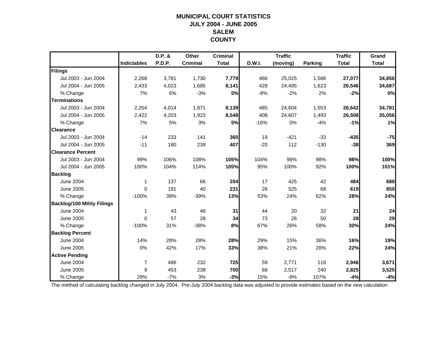## **MUNICIPAL COURT STATISTICSJULY 2004 - JUNE 2005 SALEMCOUNTY**

|                                  |                | D.P. &        | Other           | <b>Criminal</b> |               | <b>Traffic</b> |         | <b>Traffic</b> | Grand        |
|----------------------------------|----------------|---------------|-----------------|-----------------|---------------|----------------|---------|----------------|--------------|
|                                  | Indictables    | <b>P.D.P.</b> | <b>Criminal</b> | <b>Total</b>    | <b>D.W.I.</b> | (moving)       | Parking | <b>Total</b>   | <b>Total</b> |
| Filings                          |                |               |                 |                 |               |                |         |                |              |
| Jul 2003 - Jun 2004              | 2,268          | 3,781         | 1,730           | 7,779           | 466           | 25,025         | 1,586   | 27,077         | 34,856       |
| Jul 2004 - Jun 2005              | 2,433          | 4,023         | 1,685           | 8,141           | 428           | 24,495         | 1,623   | 26,546         | 34,687       |
| % Change                         | 7%             | 6%            | $-3%$           | 5%              | $-8%$         | $-2%$          | 2%      | $-2%$          | 0%           |
| <b>Terminations</b>              |                |               |                 |                 |               |                |         |                |              |
| Jul 2003 - Jun 2004              | 2,254          | 4,014         | 1,871           | 8,139           | 485           | 24,604         | 1,553   | 26,642         | 34,781       |
| Jul 2004 - Jun 2005              | 2,422          | 4,203         | 1,923           | 8,548           | 408           | 24,607         | 1,493   | 26,508         | 35,056       |
| % Change                         | 7%             | 5%            | 3%              | 5%              | $-16%$        | 0%             | $-4%$   | $-1%$          | 1%           |
| <b>Clearance</b>                 |                |               |                 |                 |               |                |         |                |              |
| Jul 2003 - Jun 2004              | $-14$          | 233           | 141             | 360             | 19            | $-421$         | $-33$   | $-435$         | $-75$        |
| Jul 2004 - Jun 2005              | $-11$          | 180           | 238             | 407             | $-20$         | 112            | $-130$  | $-38$          | 369          |
| <b>Clearance Percent</b>         |                |               |                 |                 |               |                |         |                |              |
| Jul 2003 - Jun 2004              | 99%            | 106%          | 108%            | 105%            | 104%          | 98%            | 98%     | 98%            | 100%         |
| Jul 2004 - Jun 2005              | 100%           | 104%          | 114%            | 105%            | 95%           | 100%           | 92%     | 100%           | 101%         |
| <b>Backlog</b>                   |                |               |                 |                 |               |                |         |                |              |
| <b>June 2004</b>                 | 1              | 137           | 66              | 204             | 17            | 425            | 42      | 484            | 688          |
| <b>June 2005</b>                 | 0              | 191           | 40              | 231             | 26            | 525            | 68      | 619            | 850          |
| % Change                         | $-100%$        | 39%           | $-39%$          | 13%             | 53%           | 24%            | 62%     | 28%            | 24%          |
| <b>Backlog/100 Mthly Filings</b> |                |               |                 |                 |               |                |         |                |              |
| <b>June 2004</b>                 | 1              | 43            | 46              | 31              | 44            | 20             | 32      | 21             | 24           |
| <b>June 2005</b>                 | $\Omega$       | 57            | 28              | 34              | 73            | 26             | 50      | 28             | 29           |
| % Change                         | $-100%$        | 31%           | $-38%$          | 8%              | 67%           | 26%            | 58%     | 30%            | 24%          |
| <b>Backlog Percent</b>           |                |               |                 |                 |               |                |         |                |              |
| <b>June 2004</b>                 | 14%            | 28%           | 28%             | 28%             | 29%           | 15%            | 36%     | 16%            | 19%          |
| <b>June 2005</b>                 | 0%             | 42%           | 17%             | 33%             | 38%           | 21%            | 28%     | 22%            | 24%          |
| <b>Active Pending</b>            |                |               |                 |                 |               |                |         |                |              |
| <b>June 2004</b>                 | $\overline{7}$ | 486           | 232             | 725             | 59            | 2,771          | 116     | 2,946          | 3,671        |
| <b>June 2005</b>                 | 9              | 453           | 238             | 700             | 68            | 2,517          | 240     | 2,825          | 3,525        |
| % Change                         | 29%            | $-7%$         | 3%              | $-3%$           | 15%           | $-9%$          | 107%    | $-4%$          | $-4%$        |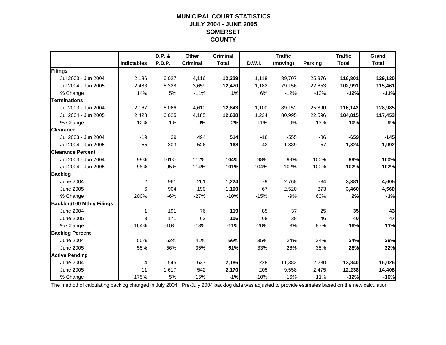## **MUNICIPAL COURT STATISTICSJULY 2004 - JUNE 2005 SOMERSET COUNTY**

|                                  |                    | D.P. &        | Other           | <b>Criminal</b> |        | <b>Traffic</b> |                | <b>Traffic</b> | Grand        |
|----------------------------------|--------------------|---------------|-----------------|-----------------|--------|----------------|----------------|----------------|--------------|
|                                  | <b>Indictables</b> | <b>P.D.P.</b> | <b>Criminal</b> | <b>Total</b>    | D.W.I. | (moving)       | <b>Parking</b> | <b>Total</b>   | <b>Total</b> |
| Filings                          |                    |               |                 |                 |        |                |                |                |              |
| Jul 2003 - Jun 2004              | 2,186              | 6,027         | 4,116           | 12,329          | 1,118  | 89,707         | 25,976         | 116,801        | 129,130      |
| Jul 2004 - Jun 2005              | 2,483              | 6,328         | 3,659           | 12,470          | 1,182  | 79,156         | 22,653         | 102,991        | 115,461      |
| % Change                         | 14%                | 5%            | $-11%$          | 1%              | 6%     | $-12%$         | $-13%$         | $-12%$         | $-11%$       |
| <b>Terminations</b>              |                    |               |                 |                 |        |                |                |                |              |
| Jul 2003 - Jun 2004              | 2,167              | 6,066         | 4,610           | 12,843          | 1,100  | 89,152         | 25,890         | 116,142        | 128,985      |
| Jul 2004 - Jun 2005              | 2,428              | 6,025         | 4,185           | 12,638          | 1,224  | 80,995         | 22,596         | 104,815        | 117,453      |
| % Change                         | 12%                | $-1%$         | $-9%$           | $-2%$           | 11%    | $-9%$          | $-13%$         | $-10%$         | $-9%$        |
| <b>Clearance</b>                 |                    |               |                 |                 |        |                |                |                |              |
| Jul 2003 - Jun 2004              | $-19$              | 39            | 494             | 514             | $-18$  | $-555$         | $-86$          | $-659$         | $-145$       |
| Jul 2004 - Jun 2005              | $-55$              | $-303$        | 526             | 168             | 42     | 1,839          | $-57$          | 1,824          | 1,992        |
| <b>Clearance Percent</b>         |                    |               |                 |                 |        |                |                |                |              |
| Jul 2003 - Jun 2004              | 99%                | 101%          | 112%            | 104%            | 98%    | 99%            | 100%           | 99%            | 100%         |
| Jul 2004 - Jun 2005              | 98%                | 95%           | 114%            | 101%            | 104%   | 102%           | 100%           | 102%           | 102%         |
| <b>Backlog</b>                   |                    |               |                 |                 |        |                |                |                |              |
| June 2004                        | $\overline{2}$     | 961           | 261             | 1,224           | 79     | 2,768          | 534            | 3,381          | 4,605        |
| <b>June 2005</b>                 | 6                  | 904           | 190             | 1,100           | 67     | 2,520          | 873            | 3,460          | 4,560        |
| % Change                         | 200%               | $-6%$         | $-27%$          | $-10%$          | $-15%$ | $-9%$          | 63%            | 2%             | $-1%$        |
| <b>Backlog/100 Mthly Filings</b> |                    |               |                 |                 |        |                |                |                |              |
| <b>June 2004</b>                 | 1                  | 191           | 76              | 119             | 85     | 37             | 25             | 35             | 43           |
| June 2005                        | 3                  | 171           | 62              | 106             | 68     | 38             | 46             | 40             | 47           |
| % Change                         | 164%               | $-10%$        | $-18%$          | $-11%$          | $-20%$ | 3%             | 87%            | 16%            | 11%          |
| <b>Backlog Percent</b>           |                    |               |                 |                 |        |                |                |                |              |
| <b>June 2004</b>                 | 50%                | 62%           | 41%             | 56%             | 35%    | 24%            | 24%            | 24%            | 29%          |
| June 2005                        | 55%                | 56%           | 35%             | 51%             | 33%    | 26%            | 35%            | 28%            | 32%          |
| <b>Active Pending</b>            |                    |               |                 |                 |        |                |                |                |              |
| <b>June 2004</b>                 | $\overline{4}$     | 1,545         | 637             | 2,186           | 228    | 11,382         | 2,230          | 13,840         | 16,026       |
| <b>June 2005</b>                 | 11                 | 1,617         | 542             | 2,170           | 205    | 9,558          | 2,475          | 12,238         | 14,408       |
| % Change                         | 175%               | 5%            | $-15%$          | $-1%$           | $-10%$ | $-16%$         | 11%            | $-12%$         | $-10%$       |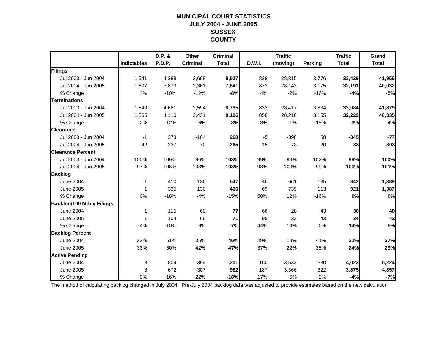#### **MUNICIPAL COURT STATISTICS JULY 2004 - JUNE 2005 SUSSEX COUNTY**

|                                  |             | D.P. & | Other           | <b>Criminal</b> |        | <b>Traffic</b> |                | <b>Traffic</b> | Grand        |
|----------------------------------|-------------|--------|-----------------|-----------------|--------|----------------|----------------|----------------|--------------|
|                                  | Indictables | P.D.P. | <b>Criminal</b> | <b>Total</b>    | D.W.I. | (moving)       | <b>Parking</b> | <b>Total</b>   | <b>Total</b> |
| Filings                          |             |        |                 |                 |        |                |                |                |              |
| Jul 2003 - Jun 2004              | 1,541       | 4,288  | 2,698           | 8,527           | 838    | 28,815         | 3,776          | 33,429         | 41,956       |
| Jul 2004 - Jun 2005              | 1,607       | 3,873  | 2,361           | 7,841           | 873    | 28,143         | 3,175          | 32,191         | 40,032       |
| % Change                         | 4%          | $-10%$ | $-12%$          | $-8%$           | 4%     | $-2%$          | $-16%$         | $-4%$          | $-5%$        |
| <b>Terminations</b>              |             |        |                 |                 |        |                |                |                |              |
| Jul 2003 - Jun 2004              | 1,540       | 4,661  | 2,594           | 8,795           | 833    | 28,417         | 3,834          | 33,084         | 41,879       |
| Jul 2004 - Jun 2005              | 1,565       | 4,110  | 2,431           | 8,106           | 858    | 28,216         | 3,155          | 32,229         | 40,335       |
| % Change                         | 2%          | $-12%$ | $-6%$           | $-8%$           | 3%     | $-1%$          | $-18%$         | $-3%$          | $-4%$        |
| <b>Clearance</b>                 |             |        |                 |                 |        |                |                |                |              |
| Jul 2003 - Jun 2004              | $-1$        | 373    | $-104$          | 268             | $-5$   | $-398$         | 58             | $-345$         | $-77$        |
| Jul 2004 - Jun 2005              | $-42$       | 237    | 70              | 265             | $-15$  | 73             | $-20$          | 38             | 303          |
| <b>Clearance Percent</b>         |             |        |                 |                 |        |                |                |                |              |
| Jul 2003 - Jun 2004              | 100%        | 109%   | 96%             | 103%            | 99%    | 99%            | 102%           | 99%            | 100%         |
| Jul 2004 - Jun 2005              | 97%         | 106%   | 103%            | 103%            | 98%    | 100%           | 99%            | 100%           | 101%         |
| <b>Backlog</b>                   |             |        |                 |                 |        |                |                |                |              |
| <b>June 2004</b>                 | 1           | 410    | 136             | 547             | 46     | 661            | 135            | 842            | 1,389        |
| <b>June 2005</b>                 | 1           | 335    | 130             | 466             | 69     | 739            | 113            | 921            | 1,387        |
| % Change                         | 0%          | $-18%$ | $-4%$           | $-15%$          | 50%    | 12%            | $-16%$         | 9%             | 0%           |
| <b>Backlog/100 Mthly Filings</b> |             |        |                 |                 |        |                |                |                |              |
| <b>June 2004</b>                 | 1           | 115    | 60              | 77              | 66     | 28             | 43             | 30             | 40           |
| <b>June 2005</b>                 | 1           | 104    | 66              | 71              | 95     | 32             | 43             | 34             | 42           |
| % Change                         | $-4%$       | $-10%$ | 9%              | $-7%$           | 44%    | 14%            | 0%             | 14%            | 5%           |
| <b>Backlog Percent</b>           |             |        |                 |                 |        |                |                |                |              |
| <b>June 2004</b>                 | 33%         | 51%    | 35%             | 46%             | 29%    | 19%            | 41%            | 21%            | 27%          |
| <b>June 2005</b>                 | 33%         | 50%    | 42%             | 47%             | 37%    | 22%            | 35%            | 24%            | 29%          |
| <b>Active Pending</b>            |             |        |                 |                 |        |                |                |                |              |
| <b>June 2004</b>                 | 3           | 804    | 394             | 1,201           | 160    | 3,533          | 330            | 4,023          | 5,224        |
| <b>June 2005</b>                 | 3           | 672    | 307             | 982             | 187    | 3,366          | 322            | 3,875          | 4,857        |
| % Change                         | 0%          | $-16%$ | $-22%$          | $-18%$          | 17%    | $-5%$          | $-2%$          | $-4%$          | $-7%$        |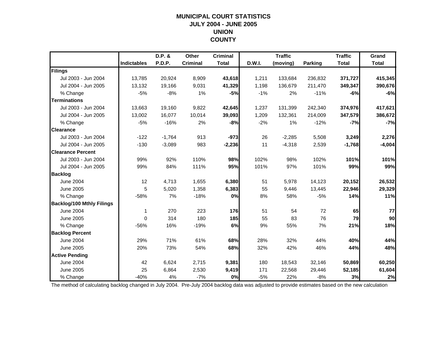#### **MUNICIPAL COURT STATISTICS JULY 2004 - JUNE 2005 UNION COUNTY**

|                                  |                    | D.P. &   | Other           | <b>Criminal</b> |        | <b>Traffic</b> |                | <b>Traffic</b> | Grand        |
|----------------------------------|--------------------|----------|-----------------|-----------------|--------|----------------|----------------|----------------|--------------|
|                                  | <b>Indictables</b> | P.D.P.   | <b>Criminal</b> | <b>Total</b>    | D.W.I. | (moving)       | <b>Parking</b> | <b>Total</b>   | <b>Total</b> |
| Filings                          |                    |          |                 |                 |        |                |                |                |              |
| Jul 2003 - Jun 2004              | 13,785             | 20,924   | 8,909           | 43,618          | 1,211  | 133,684        | 236,832        | 371,727        | 415,345      |
| Jul 2004 - Jun 2005              | 13,132             | 19,166   | 9,031           | 41,329          | 1,198  | 136,679        | 211,470        | 349,347        | 390,676      |
| % Change                         | $-5%$              | $-8%$    | 1%              | $-5%$           | $-1%$  | 2%             | $-11%$         | $-6%$          | $-6%$        |
| <b>Terminations</b>              |                    |          |                 |                 |        |                |                |                |              |
| Jul 2003 - Jun 2004              | 13,663             | 19,160   | 9,822           | 42,645          | 1,237  | 131,399        | 242,340        | 374,976        | 417,621      |
| Jul 2004 - Jun 2005              | 13,002             | 16,077   | 10,014          | 39,093          | 1,209  | 132,361        | 214,009        | 347,579        | 386,672      |
| % Change                         | $-5%$              | $-16%$   | 2%              | $-8%$           | $-2%$  | 1%             | $-12%$         | $-7%$          | $-7%$        |
| <b>Clearance</b>                 |                    |          |                 |                 |        |                |                |                |              |
| Jul 2003 - Jun 2004              | $-122$             | $-1,764$ | 913             | $-973$          | 26     | $-2,285$       | 5,508          | 3,249          | 2,276        |
| Jul 2004 - Jun 2005              | $-130$             | $-3,089$ | 983             | $-2,236$        | 11     | $-4,318$       | 2,539          | $-1,768$       | $-4,004$     |
| <b>Clearance Percent</b>         |                    |          |                 |                 |        |                |                |                |              |
| Jul 2003 - Jun 2004              | 99%                | 92%      | 110%            | 98%             | 102%   | 98%            | 102%           | 101%           | 101%         |
| Jul 2004 - Jun 2005              | 99%                | 84%      | 111%            | 95%             | 101%   | 97%            | 101%           | 99%            | 99%          |
| <b>Backlog</b>                   |                    |          |                 |                 |        |                |                |                |              |
| <b>June 2004</b>                 | 12                 | 4,713    | 1,655           | 6,380           | 51     | 5,978          | 14,123         | 20,152         | 26,532       |
| <b>June 2005</b>                 | 5                  | 5,020    | 1,358           | 6,383           | 55     | 9,446          | 13,445         | 22,946         | 29,329       |
| % Change                         | $-58%$             | 7%       | $-18%$          | 0%              | 8%     | 58%            | $-5%$          | 14%            | 11%          |
| <b>Backlog/100 Mthly Filings</b> |                    |          |                 |                 |        |                |                |                |              |
| <b>June 2004</b>                 | 1                  | 270      | 223             | 176             | 51     | 54             | 72             | 65             | 77           |
| <b>June 2005</b>                 | $\Omega$           | 314      | 180             | 185             | 55     | 83             | 76             | 79             | 90           |
| % Change                         | $-56%$             | 16%      | $-19%$          | 6%              | 9%     | 55%            | 7%             | 21%            | 18%          |
| <b>Backlog Percent</b>           |                    |          |                 |                 |        |                |                |                |              |
| <b>June 2004</b>                 | 29%                | 71%      | 61%             | 68%             | 28%    | 32%            | 44%            | 40%            | 44%          |
| <b>June 2005</b>                 | 20%                | 73%      | 54%             | 68%             | 32%    | 42%            | 46%            | 44%            | 48%          |
| <b>Active Pending</b>            |                    |          |                 |                 |        |                |                |                |              |
| <b>June 2004</b>                 | 42                 | 6,624    | 2,715           | 9,381           | 180    | 18,543         | 32,146         | 50,869         | 60,250       |
| <b>June 2005</b>                 | 25                 | 6,864    | 2,530           | 9,419           | 171    | 22,568         | 29,446         | 52,185         | 61,604       |
| % Change                         | $-40%$             | 4%       | $-7%$           | 0%              | $-5%$  | 22%            | $-8%$          | 3%             | 2%           |